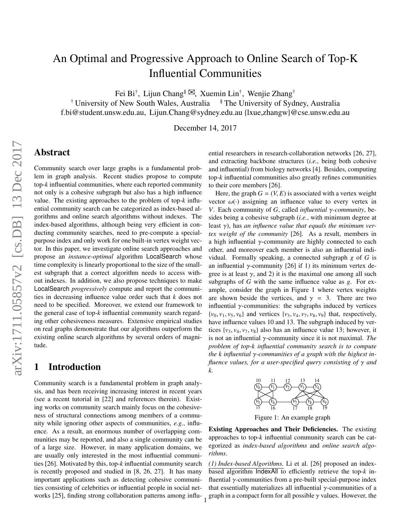# An Optimal and Progressive Approach to Online Search of Top-K Influential Communities

Fei Bi<sup>†</sup>, Lijun Chang<sup>§ ⊠</sup>, Xuemin Lin<sup>†</sup>, Wenjie Zhang<sup>†</sup>

<sup>†</sup> University of New South Wales, Australia <sup>§</sup> The University of Sydney, Australia f.bi@student.unsw.edu.au, Lijun.Chang@sydney.edu.au {lxue,zhangw}@cse.unsw.edu.au

December 14, 2017

### Abstract

Community search over large graphs is a fundamental problem in graph analysis. Recent studies propose to compute top-*k* influential communities, where each reported community not only is a cohesive subgraph but also has a high influence value. The existing approaches to the problem of top-*k* influential community search can be categorized as index-based algorithms and online search algorithms without indexes. The index-based algorithms, although being very efficient in conducting community searches, need to pre-compute a specialpurpose index and only work for one built-in vertex weight vector. In this paper, we investigate online search approaches and propose an *instance-optimal* algorithm LocalSearch whose time complexity is linearly proportional to the size of the smallest subgraph that a correct algorithm needs to access without indexes. In addition, we also propose techniques to make LocalSearch *progressively* compute and report the communities in decreasing influence value order such that *k* does not need to be specified. Moreover, we extend our framework to the general case of top-*k* influential community search regarding other cohesiveness measures. Extensive empirical studies on real graphs demonstrate that our algorithms outperform the existing online search algorithms by several orders of magnitude.

# 1 Introduction

Community search is a fundamental problem in graph analysis, and has been receiving increasing interest in recent years (see a recent tutorial in [22] and references therein). Existing works on community search mainly focus on the cohesiveness of structural connections among members of a community while ignoring other aspects of communities, *e.g.*, influence. As a result, an enormous number of overlapping communities may be reported, and also a single community can be of a large size. However, in many application domains, we are usually only interested in the most influential communities [26]. Motivated by this, top-*k* influential community search is recently proposed and studied in [8, 26, 27]. It has many important applications such as detecting cohesive communities consisting of celebrities or influential people in social networks [25], finding strong collaboration patterns among influential researchers in research-collaboration networks [26, 27], and extracting backbone structures (*i.e.*, being both cohesive and influential) from biology networks [4]. Besides, computing top-*k* influential communities also greatly refines communities to their core members [26].

Here, the graph  $G = (V, E)$  is associated with a vertex weight vector  $\omega(\cdot)$  assigning an influence value to every vertex in *V*. Each community of *G*, called *influential* γ*-community*, besides being a cohesive subgraph (*i.e.*, with minimum degree at least γ), has *an influence value that equals the minimum vertex weight of the community* [26]. As a result, members in a high influential  $\gamma$ -community are highly connected to each other, and moreover each member is also an influential individual. Formally speaking, a connected subgraph *g* of *G* is an influential  $\gamma$ -community [26] if 1) its minimum vertex degree is at least  $\gamma$ , and 2) it is the maximal one among all such subgraphs of *G* with the same influence value as *g*. For example, consider the graph in Figure 1 where vertex weights are shown beside the vertices, and  $\gamma = 3$ . There are two influential γ-communities: the subgraphs induced by vertices  $\{v_0, v_1, v_5, v_6\}$  and vertices  $\{v_3, v_4, v_7, v_8, v_9\}$  that, respectively, have influence values 10 and 13. The subgraph induced by vertices  $\{v_3, v_4, v_7, v_8\}$  also has an influence value 13; however, it is not an influential γ-community since it is not maximal. *The problem of top-k influential community search is to compute the k influential* γ*-communities of a graph with the highest influence values, for a user-specified query consisting of* γ *and k.*



Figure 1: An example graph

Existing Approaches and Their Deficiencies. The existing approaches to top-*k* influential community search can be categorized as *index-based algorithms* and *online search algorithms*.

*(1) Index-based Algorithms.* Li et al. [26] proposed an indexbased algorithm IndexAll to efficiently retrieve the top-*k* influential  $\gamma$ -communities from a pre-built special-purpose index that essentially materializes all influential  $\gamma$ -communities of a graph in a compact form for all possible  $\gamma$  values. However, the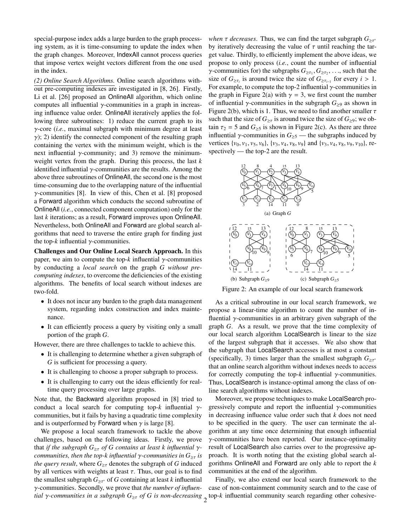special-purpose index adds a large burden to the graph processing system, as it is time-consuming to update the index when the graph changes. Moreover, IndexAll cannot process queries that impose vertex weight vectors different from the one used in the index.

*(2) Online Search Algorithms.* Online search algorithms without pre-computing indexes are investigated in [8, 26]. Firstly, Li et al. [26] proposed an OnlineAll algorithm, which online computes all influential  $\gamma$ -communities in a graph in increasing influence value order. OnlineAll iteratively applies the following three subroutines: 1) reduce the current graph to its γ-core (*i.e.*, maximal subgraph with minimum degree at least  $\gamma$ ); 2) identify the connected component of the resulting graph containing the vertex with the minimum weight, which is the next influential  $γ$ -community; and 3) remove the minimumweight vertex from the graph. During this process, the last *k* identified influential  $\gamma$ -communities are the results. Among the above three subroutines of OnlineAll, the second one is the most time-consuming due to the overlapping nature of the influential  $\gamma$ -communities [8]. In view of this, Chen et al. [8] proposed a Forward algorithm which conducts the second subroutine of OnlineAll (*i.e.*, connected component computation) only for the last *k* iterations; as a result, Forward improves upon OnlineAll. Nevertheless, both OnlineAll and Forward are global search algorithms that need to traverse the entire graph for finding just the top- $k$  influential  $\gamma$ -communities.

Challenges and Our Online Local Search Approach. In this paper, we aim to compute the top- $k$  influential  $\gamma$ -communities by conducting a *local search* on the graph *G without precomputing indexes*, to overcome the deficiencies of the existing algorithms. The benefits of local search without indexes are two-fold.

- It does not incur any burden to the graph data management system, regarding index construction and index maintenance.
- It can efficiently process a query by visiting only a small portion of the graph *G*.

However, there are three challenges to tackle to achieve this.

- It is challenging to determine whether a given subgraph of *G* is sufficient for processing a query.
- It is challenging to choose a proper subgraph to process.
- It is challenging to carry out the ideas efficiently for realtime query processing over large graphs.

Note that, the Backward algorithm proposed in [8] tried to conduct a local search for computing top-*k* influential γcommunities, but it fails by having a quadratic time complexity and is outperformed by Forward when  $\gamma$  is large [8].

We propose a local search framework to tackle the above challenges, based on the following ideas. Firstly, we prove that *if the subgraph*  $G_{\geq \tau}$  *of* G contains at least k influential  $\gamma$ *communities, then the top-k influential*  $\gamma$ -communities in  $G_{\geq \tau}$  is *the query result,* where  $G_{\geq \tau}$  denotes the subgraph of *G* induced by all vertices with weights at least  $\tau$ . Thus, our goal is to find the smallest subgraph  $G_{\geq \tau^*}$  of *G* containing at least *k* influential γ-communities. Secondly, we prove that *the number of influential* γ*-communities in a subgraph*  $G_{\geq \tau}$  *of G is non-decreasing*  $\frac{1}{2}$  top-*k* influential community search regarding other cohesive-

*when τ decreases*. Thus, we can find the target subgraph  $G_{≥τ*}$ by iteratively decreasing the value of  $\tau$  until reaching the target value. Thirdly, to efficiently implement the above ideas, we propose to only process (*i.e.*, count the number of influential *y*-communities for) the subgraphs  $G_{\geq \tau_1}, G_{\geq \tau_2}, \ldots$ , such that the size of  $G_{\geq \tau_i}$  is around twice the size of  $G_{\geq \tau_{i-1}}$  for every  $i > 1$ . For example, to compute the top-2 influential  $\gamma$ -communities in the graph in Figure 2(a) with  $\gamma = 3$ , we first count the number of influential  $\gamma$ -communities in the subgraph  $G_{\geq 9}$  as shown in Figure 2(b), which is 1. Thus, we need to find another smaller  $\tau$ such that the size of  $G_{\geq \tau}$  is around twice the size of  $G_{\geq 9}$ ; we obtain  $\tau_2 = 5$  and  $G_{\geq 5}$  is shown in Figure 2(c). As there are three influential  $\gamma$ -communities in  $G_{\geq 5}$  — the subgraphs induced by vertices  $\{v_0, v_1, v_5, v_6\}$ ,  $\{v_3, v_4, v_8, v_9\}$  and  $\{v_3, v_4, v_8, v_9, v_{10}\}$ , respectively — the top-2 are the result.



Figure 2: An example of our local search framework

As a critical subroutine in our local search framework, we propose a linear-time algorithm to count the number of influential γ-communities in an arbitrary given subgraph of the graph *G*. As a result, we prove that the time complexity of our local search algorithm LocalSearch is linear to the size of the largest subgraph that it accesses. We also show that the subgraph that LocalSearch accesses is at most a constant (specifically, 3) times larger than the smallest subgraph  $G_{\geq \tau^*}$ that an online search algorithm without indexes needs to access for correctly computing the top- $k$  influential  $\gamma$ -communities. Thus, LocalSearch is instance-optimal among the class of online search algorithms without indexes.

Moreover, we propose techniques to make LocalSearch progressively compute and report the influential  $\gamma$ -communities in decreasing influence value order such that *k* does not need to be specified in the query. The user can terminate the algorithm at any time once determining that enough influential  $\gamma$ -communities have been reported. Our instance-optimality result of LocalSearch also carries over to the progressive approach. It is worth noting that the existing global search algorithms OnlineAll and Forward are only able to report the *k* communities at the end of the algorithm.

Finally, we also extend our local search framework to the case of non-containment community search and to the case of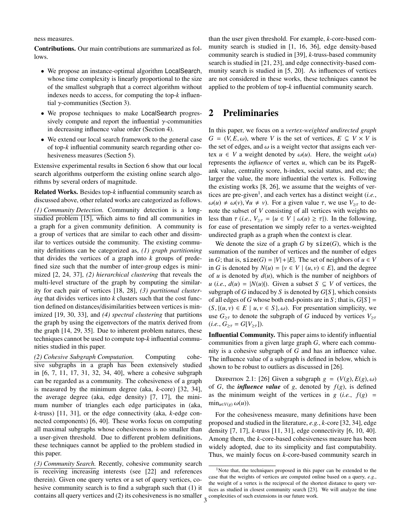#### ness measures.

Contributions. Our main contributions are summarized as follows.

- We propose an instance-optimal algorithm LocalSearch, whose time complexity is linearly proportional to the size of the smallest subgraph that a correct algorithm without indexes needs to access, for computing the top-*k* influential  $γ$ -communities (Section 3).
- We propose techniques to make LocalSearch progressively compute and report the influential  $\gamma$ -communities in decreasing influence value order (Section 4).
- We extend our local search framework to the general case of top-*k* influential community search regarding other cohesiveness measures (Section 5).

Extensive experimental results in Section 6 show that our local search algorithms outperform the existing online search algorithms by several orders of magnitude.

Related Works. Besides top-*k* influential community search as discussed above, other related works are categorized as follows.

*(1) Community Detection.* Community detection is a longstudied problem [15], which aims to find all communities in a graph for a given community definition. A community is a group of vertices that are similar to each other and dissimilar to vertices outside the community. The existing community definitions can be categorized as, *(1) graph partitioning* that divides the vertices of a graph into *k* groups of predefined size such that the number of inter-group edges is minimized [2, 24, 37], *(2) hierarchical clustering* that reveals the multi-level structure of the graph by computing the similarity for each pair of vertices [18, 28], *(3) partitional clustering* that divides vertices into *k* clusters such that the cost function defined on distances/disimilarities between vertices is minimized [19, 30, 33], and *(4) spectral clustering* that partitions the graph by using the eigenvectors of the matrix derived from the graph [14, 29, 35]. Due to inherent problem natures, these techniques cannot be used to compute top-*k* influential communities studied in this paper.

*(2) Cohesive Subgraph Computation.* Computing cohesive subgraphs in a graph has been extensively studied in [6, 7, 11, 17, 31, 32, 34, 40], where a cohesive subgraph can be regarded as a community. The cohesiveness of a graph is measured by the minimum degree (aka, *k*-core) [32, 34], the average degree (aka, edge density) [7, 17], the minimum number of triangles each edge participates in (aka, *k*-truss) [11, 31], or the edge connectivity (aka, *k*-edge connected components) [6, 40]. These works focus on computing all maximal subgraphs whose cohesiveness is no smaller than a user-given threshold. Due to different problem definitions, these techniques cannot be applied to the problem studied in this paper.

*(3) Community Search.* Recently, cohesive community search is receiving increasing interests (see [22] and references therein). Given one query vertex or a set of query vertices, cohesive community search is to find a subgraph such that (1) it contains all query vertices and  $(2)$  its cohesiveness is no smaller  $\frac{1}{3}$  complexities of such extensions in our future work.

than the user given threshold. For example, *k*-core-based community search is studied in [1, 16, 36], edge density-based community search is studied in [39], *k*-truss-based community search is studied in [21, 23], and edge connectivity-based community search is studied in [5, 20]. As influences of vertices are not considered in these works, these techniques cannot be applied to the problem of top-*k* influential community search.

# 2 Preliminaries

In this paper, we focus on a *vertex-weighted undirected graph*  $G = (V, E, \omega)$ , where *V* is the set of vertices,  $E \subseteq V \times V$  is the set of edges, and  $\omega$  is a weight vector that assigns each vertex  $u \in V$  a weight denoted by  $\omega(u)$ . Here, the weight  $\omega(u)$ represents the *influence* of vertex *u*, which can be its PageRank value, centrality score, h-index, social status, and etc; the larger the value, the more influential the vertex is. Following the existing works [8, 26], we assume that the weights of vertices are pre-given<sup>1</sup>, and each vertex has a distinct weight (*i.e.*,  $\omega(u) \neq \omega(v)$ ,  $\forall u \neq v$ ). For a given value  $\tau$ , we use  $V_{\geq \tau}$  to denote the subset of *V* consisting of all vertices with weights no less than  $\tau$  (*i.e.*,  $V_{\geq \tau} = \{u \in V \mid \omega(u) \geq \tau\}$ ). In the following, for ease of presentation we simply refer to a vertex-weighted undirected graph as a graph when the context is clear.

We denote the size of a graph  $G$  by  $size(G)$ , which is the summation of the number of vertices and the number of edges in *G*; that is,  $size(G) = |V| + |E|$ . The set of neighbors of  $u \in V$ in *G* is denoted by  $N(u) = \{v \in V \mid (u, v) \in E\}$ , and the degree of  $u$  is denoted by  $d(u)$ , which is the number of neighbors of *u* (*i.e.*, *d*(*u*) = |*N*(*u*)|). Given a subset *S* ⊆ *V* of vertices, the subgraph of *G* induced by *S* is denoted by *G*[*S* ], which consists of all edges of *G* whose both end-points are in *S*; that is,  $G[S] =$  $(S, \{(u, v) \in E \mid u, v \in S\}, \omega)$ . For presentation simplicity, we use  $G_{\geq \tau}$  to denote the subgraph of *G* induced by vertices  $V_{\geq \tau}$  $(i.e., G_{\geq \tau} = G[V_{\geq \tau}]).$ 

Influential Community. This paper aims to identify influential communities from a given large graph *G*, where each community is a cohesive subgraph of *G* and has an influence value. The influence value of a subgraph is defined in below, which is shown to be robust to outliers as discussed in [26].

DEFINITION 2.1: [26] Given a subgraph  $g = (V(g), E(g), \omega)$ of *G*, the *influence value* of *g*, denoted by  $f(g)$ , is defined as the minimum weight of the vertices in  $g(i.e., f(g)) =$  $\min_{u \in V(g)} \omega(u)$ .

For the cohesiveness measure, many definitions have been proposed and studied in the literature, *e.g.*, *k*-core [32, 34], edge density [7, 17], *k*-truss [11, 31], edge connectivity [6, 10, 40]. Among them, the *k*-core-based cohesiveness measure has been widely adopted, due to its simplicity and fast computability. Thus, we mainly focus on *k*-core-based community search in

<sup>&</sup>lt;sup>1</sup>Note that, the techniques proposed in this paper can be extended to the case that the weights of vertices are computed online based on a query, *e.g.*, the weight of a vertex is the reciprocal of the shortest distance to query vertices as studied in closest community search [23]. We will analyze the time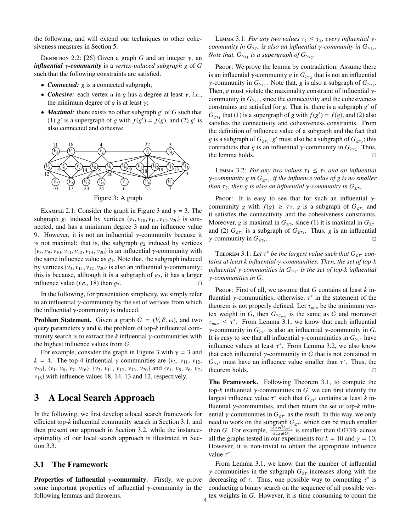the following, and will extend our techniques to other cohesiveness measures in Section 5.

DEFINITION 2.2: [26] Given a graph *G* and an integer  $\gamma$ , an *influential* γ*-community* is a *vertex-induced subgraph g* of *G* such that the following constraints are satisfied.

- *Connected: g* is a connected subgraph;
- *Cohesive:* each vertex *u* in *g* has a degree at least γ, *i.e.*, the minimum degree of *g* is at least  $\gamma$ ;
- *Maximal:* there exists no other subgraph *g*' of *G* such that (1)  $g'$  is a supergraph of *g* with  $f(g') = f(g)$ , and (2)  $g'$  is also connected and cohesive.



EXAMPLE 2.1: Consider the graph in Figure 3 and  $\gamma = 3$ . The subgraph  $g_1$  induced by vertices  $\{v_3, v_{10}, v_{11}, v_{12}, v_{20}\}$  is connected, and has a minimum degree 3 and an influence value 9. However, it is not an influential  $\gamma$ -community because it is not maximal; that is, the subgraph  $g_2$  induced by vertices  ${v_3, v_9, v_{10}, v_{11}, v_{12}, v_{13}, v_{20}}$  is an influential  $\gamma$ -community with the same influence value as  $g_1$ . Note that, the subgraph induced by vertices  $\{v_3, v_{11}, v_{12}, v_{20}\}$  is also an influential  $\gamma$ -community; this is because, although it is a subgraph of  $g_2$ , it has a larger influence value  $(i.e., 18)$  than  $g_2$ .

In the following, for presentation simplicity, we simply refer to an influential  $\gamma$ -community by the set of vertices from which the influential  $\gamma$ -community is induced.

**Problem Statement.** Given a graph  $G = (V, E, \omega)$ , and two query parameters  $\gamma$  and  $k$ , the problem of top- $k$  influential community search is to extract the  $k$  influential  $\gamma$ -communities with the highest influence values from *G*.

For example, consider the graph in Figure 3 with  $\gamma = 3$  and  $k = 4$ . The top-4 influential *γ*-communities are {*v*<sub>3</sub>, *v*<sub>11</sub>, *v*<sub>12</sub>, *v*20}, {*v*1, *v*6, *v*7, *v*16}, {*v*3, *v*11, *v*12, *v*13, *v*20} and {*v*1, *v*5, *v*6, *v*7, *v*16} with influence values 18, 14, 13 and 12, respectively.

# 3 A Local Search Approach

In the following, we first develop a local search framework for efficient top-*k* influential community search in Section 3.1, and then present our approach in Section 3.2, while the instanceoptimality of our local search approach is illustrated in Section 3.3.

#### 3.1 The Framework

**Properties of Influential**  $\gamma$ **-community.** Firstly, we prove some important properties of influential  $\gamma$ -community in the following lemmas and theorems.

LEMMA 3.1: *For any two values*  $\tau_1 \leq \tau_2$ , *every influential*  $\gamma$ *community in*  $G_{\geq \tau_2}$  *is also an influential*  $\gamma$ -community in  $G_{\geq \tau_1}$ . *Note that,*  $G_{\geq \tau_1}$  *is a supergraph of*  $G_{\geq \tau_2}$ *.* 

Proof: We prove the lemma by contradiction. Assume there is an influential  $\gamma$ -community  $g$  in  $G_{\geq \tau_2}$  that is not an influential *γ*-community in  $G_{\geq \tau_1}$ . Note that, *g* is also a subgraph of  $G_{\geq \tau_1}$ . Then, *g* must violate the maximality constraint of influential  $\gamma$ community in  $G_{\geq \tau_1}$ , since the connectivity and the cohesiveness constraints are satisfied for *g*. That is, there is a subgraph *g*' of  $G_{\geq \tau_1}$  that (1) is a supergraph of *g* with  $f(g') = f(g)$ , and (2) also satisfies the connectivity and cohesiveness constraints. From the definition of influence value of a subgraph and the fact that *g* is a subgraph of  $G_{\geq \tau_2}$ , *g'* must also be a subgraph of  $G_{\geq \tau_2}$ ; this contradicts that *g* is an influential  $\gamma$ -community in  $G_{\geq \tau_2}$ . Thus, the lemma holds.

LEMMA 3.2: *For any two values*  $\tau_1 \leq \tau_2$  *and an influential*  $\gamma$ -community g in  $G_{\geq \tau_1}$ , if the influence value of g is no smaller than  $\tau_2$ , then g is also an influential  $\gamma$ -community in  $G_{\geq \tau_2}$ .

Proof: It is easy to see that for such an influential  $\gamma$ community *g* with  $f(g) \geq \tau_2$ , *g* is a subgraph of  $G_{\geq \tau_2}$  and it satisfies the connectivity and the cohesiveness constraints. Moreover, *g* is maximal in  $G_{\geq \tau_2}$  since (1) it is maximal in  $G_{\geq \tau_1}$ and (2)  $G_{\geq \tau_2}$  is a subgraph of  $G_{\geq \tau_1}$ . Thus, *g* is an influential *γ*-community in  $G_{\geq \tau_2}$ . . **In the contract of the contract of the contract of the contract of the contract of the contract of the contract of the contract of the contract of the contract of the contract of the contract of the contract of the cont** 

THEOREM 3.1: Let  $\tau^*$  be the largest value such that  $G_{\geq \tau^*}$  con*tains at least k influential* γ*-communities. Then, the set of top-k influential* γ*-communities in G*≥<sup>τ</sup> <sup>∗</sup> *is the set of top-k influential* γ*-communities in G.*

Proof: First of all, we assume that *G* contains at least *k* influential γ-communities; otherwise,  $τ^*$  in the statement of the theorem is not properly defined. Let  $\tau_{min}$  be the minimum vertex weight in *G*, then  $G_{\geq \tau_{min}}$  is the same as *G* and moreover  $\tau_{min} \leq \tau^*$ . From Lemma 3.1, we know that each influential  $\gamma$ -community in  $G_{\geq \tau^*}$  is also an influential  $\gamma$ -community in *G*. It is easy to see that all influential  $\gamma$ -communities in  $G_{\geq \tau^*}$  have influence values at least  $\tau^*$ . From Lemma 3.2, we also know that each influential  $\gamma$ -community in G that is not contained in  $G_{\geq \tau^*}$  must have an influence value smaller than  $\tau^*$ . Thus, the theorem holds.

The Framework. Following Theorem 3.1, to compute the top- $k$  influential γ-communities in  $G$ , we can first identify the largest influence value  $\tau^*$  such that  $G_{\geq \tau^*}$  contains at least *k* influential γ-communities, and then return the set of top-*k* influential  $\gamma$ -communities in  $G_{\geq \tau^*}$  as the result. In this way, we only need to work on the subgraph  $G_{\geq \tau^*}$  which can be much smaller than *G*. For example,  $\frac{\text{size}(G_{\geq t^*})}{\text{size}(G)}$  is smaller than 0.073% across all the graphs tested in our experiments for  $k = 10$  and  $\gamma = 10$ . However, it is non-trivial to obtain the appropriate influence value  $\tau^*$ .

From Lemma 3.1, we know that the number of influential *γ*-communities in the subgraph  $G_{\geq \tau}$  increases along with the decreasing of  $\tau$ . Thus, one possible way to computing  $\tau^*$  is conducting a binary search on the sequence of all possible vertex weights in  $G$ . However, it is time consuming to count the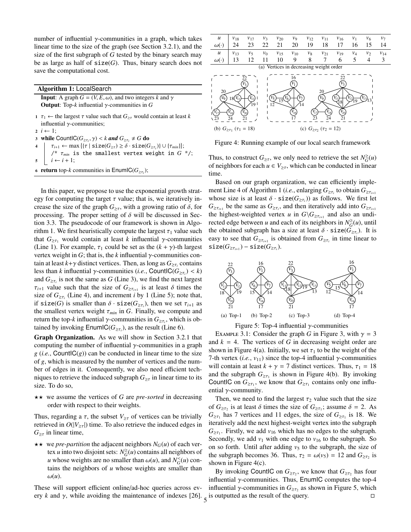number of influential γ-communities in a graph, which takes linear time to the size of the graph (see Section 3.2.1), and the size of the first subgraph of *G* tested by the binary search may be as large as half of  $size(G)$ . Thus, binary search does not save the computational cost.

Algorithm 1: LocalSearch

**Input:** A graph  $G = (V, E, \omega)$ , and two integers *k* and  $\gamma$ Output: Top-*k* influential γ-communities in *G*

- <sup>1</sup> τ<sup>1</sup> ← the largest τ value such that *G*≥<sup>τ</sup> would contain at least *k* influential  $\gamma$ -communities;
- $2 \ i \leftarrow 1$ ;
- 3 while CountIC( $G_{\geq \tau_i}$ ,  $\gamma$ ) < *k* and  $G_{\geq \tau_i} \neq G$  do
- $\tau_{i+1} \leftarrow \max \left\{ \left\{ \tau \mid \texttt{size}(G_{\geq \tau}) \geq \delta \cdot \texttt{size}(G_{\geq \tau_i}) \right\} \cup \left\{ \tau_{min} \right\} \right\};$ /\* τ*min* is the smallest vertex weight in *G* \*/;  $\mathbf{5}$   $i \leftarrow i+1;$
- 6 **return** top-*k* communities in  $\mathsf{EnumIC}(G_{\geq \tau_i});$

In this paper, we propose to use the exponential growth strategy for computing the target  $\tau$  value; that is, we iteratively increase the size of the graph  $G_{\geq \tau}$ , with a growing ratio of  $\delta$ , for processing. The proper setting of  $\delta$  will be discussed in Section 3.3. The pseudocode of our framework is shown in Algorithm 1. We first heuristically compute the largest  $\tau_1$  value such that  $G_{\geq \tau_1}$  would contain at least *k* influential *γ*-communities (Line 1). For example,  $\tau_1$  could be set as the  $(k + \gamma)$ -th largest vertex weight in  $G$ ; that is, the  $k$  influential  $\gamma$ -communities contain at least  $k+\gamma$  distinct vertices. Then, as long as  $G_{\geq \tau_i}$  contains less than *k* influential  $\gamma$ -communities (*i.e.*, CountIC( $G_{\geq \tau_i}$ ) < *k*) and  $G_{\geq \tau_i}$  is not the same as *G* (Line 3), we find the next largest  $\tau_{i+1}$  value such that the size of  $G_{\geq \tau_{i+1}}$  is at least  $\delta$  times the size of  $G_{\geq \tau_i}$  (Line 4), and increment *i* by 1 (Line 5); note that, if  $size(G)$  is smaller than  $\delta \cdot size(G_{\geq \tau_i})$ , then we set  $\tau_{i+1}$  as the smallest vertex weight  $\tau_{min}$  in *G*. Finally, we compute and return the top-*k* influential γ-communities in  $G_{\geq \tau_i}$ , which is obtained by invoking  $\textsf{EnumIC}(G_{\geq \tau_i})$ , as the result (Line 6).

Graph Organization. As we will show in Section 3.2.1 that computing the number of influential  $\gamma$ -communities in a graph  $g(i.e., CountIC(g))$  can be conducted in linear time to the size of *g*, which is measured by the number of vertices and the number of edges in it. Consequently, we also need efficient techniques to retrieve the induced subgraph  $G_{\geq \tau}$  in linear time to its size. To do so,

 $\star\star$  we assume the vertices of *G* are *pre-sorted* in decreasing order with respect to their weights.

Thus, regarding a  $\tau$ , the subset  $V_{\geq \tau}$  of vertices can be trivially retrieved in  $O(|V_{\geq \tau}|)$  time. To also retrieve the induced edges in  $G_{\geq \tau}$  in linear time,

 $\star \star$  we *pre-partition* the adjacent neighbors  $N_G(u)$  of each vertex *u* into two disjoint sets:  $N_G^{\geq}(u)$  contains all neighbors of *u* whose weights are no smaller than  $\omega(u)$ , and  $N_G^<(u)$  contains the neighbors of *u* whose weights are smaller than  $\omega(u)$ .

These will support efficient online/ad-hoc queries across every *k* and  $\gamma$ , while avoiding the maintenance of indexes [26].  $\frac{1}{5}$  is outputted as the result of the query.





Figure 4: Running example of our local search framework

Thus, to construct  $G_{\geq \tau}$ , we only need to retrieve the set  $N_G^{\geq}(u)$ of neighbors for each  $u \in V_{\geq \tau}$ , which can be conducted in linear time.

Based on our graph organization, we can efficiently implement Line 4 of Algorithm 1 (*i.e.*, enlarging  $G_{\geq \tau_i}$  to obtain  $G_{\geq \tau_{i+1}}$ whose size is at least  $\delta \cdot \text{size}(G_{\geq \tau_i})$  as follows. We first let  $G_{\geq \tau_{i+1}}$  be the same as  $G_{\geq \tau_i}$ , and then iteratively add into  $G_{\geq \tau_{i+1}}$ the highest-weighted vertex *u* in  $G\backslash G_{\geq \tau_{i+1}}$  and also an undirected edge between *u* and each of its neighbors in  $N_G^{\geq}(u)$ , until the obtained subgraph has a size at least  $\delta \cdot \text{size}(G_{\geq \tau_i})$ . It is easy to see that  $G_{\geq \tau_{i+1}}$  is obtained from  $G_{\geq \tau_i}$  in time linear to  $size(G_{\geq \tau_{i+1}}) - size(G_{\geq \tau_{i}}).$ 



Figure 5: Top-4 influential  $\gamma$ -communities

EXAMPLE 3.1: Consider the graph *G* in Figure 3, with  $\gamma = 3$ and  $k = 4$ . The vertices of G in decreasing weight order are shown in Figure 4(a). Initially, we set  $\tau_1$  to be the weight of the 7-th vertex (*i.e.*,  $v_{11}$ ) since the top-4 influential  $\gamma$ -communities will contain at least  $k + \gamma = 7$  distinct vertices. Thus,  $\tau_1 = 18$ and the subgraph  $G_{\geq \tau_1}$  is shown in Figure 4(b). By invoking CountIC on  $G_{\geq \tau_1}$ , we know that  $G_{\geq \tau_1}$  contains only one influential  $\gamma$ -community.

Then, we need to find the largest  $\tau_2$  value such that the size of  $G_{\geq \tau_2}$  is at least  $\delta$  times the size of  $G_{\geq \tau_1}$ ; assume  $\delta = 2$ . As  $G_{\geq \tau_1}$  has 7 vertices and 11 edges, the size of  $G_{\geq \tau_1}$  is 18. We iteratively add the next highest-weight vertex into the subgraph  $G_{\geq \tau_1}$ . Firstly, we add  $v_{16}$  which has no edges to the subgraph. Secondly, we add  $v_1$  with one edge to  $v_{16}$  to the subgraph. So on so forth. Until after adding  $v_5$  to the subgraph, the size of the subgraph becomes 36. Thus,  $\tau_2 = \omega(v_5) = 12$  and  $G_{\geq \tau_2}$  is shown in Figure 4(c).

By invoking CountIC on  $G_{\geq \tau_2}$ , we know that  $G_{\geq \tau_2}$  has four influential  $γ$ -communities. Thus, EnumIC computes the top-4 influential  $\gamma$ -communities in  $G_{\geq \tau_2}$  as shown in Figure 5, which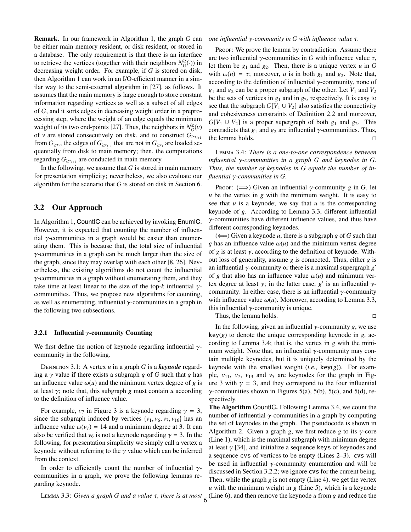Remark. In our framework in Algorithm 1, the graph *G* can be either main memory resident, or disk resident, or stored in a database. The only requirement is that there is an interface to retrieve the vertices (together with their neighbors  $N_G^{\geq}(\cdot)$ ) in decreasing weight order. For example, if *G* is stored on disk, then Algorithm 1 can work in an I/O-efficient manner in a similar way to the semi-external algorithm in [27], as follows. It assumes that the main memory is large enough to store constant information regarding vertices as well as a subset of all edges of *G*, and it sorts edges in decreasing weight order in a preprocessing step, where the weight of an edge equals the minimum weight of its two end-points [27]. Thus, the neighbors in  $N_G^{\geq}(v)$ of *v* are stored consecutively on disk, and to construct  $G_{\geq \tau_{i+1}}$ from  $G_{\geq \tau_i}$ , the edges of  $G_{\geq \tau_{i+1}}$  that are not in  $G_{\geq \tau_i}$  are loaded sequentially from disk to main memory; then, the computations regarding  $G_{\geq \tau_{i+1}}$  are conducted in main memory.

In the following, we assume that *G* is stored in main memory for presentation simplicity; nevertheless, we also evaluate our algorithm for the scenario that *G* is stored on disk in Section 6.

#### 3.2 Our Approach

In Algorithm 1, CountIC can be achieved by invoking EnumIC. However, it is expected that counting the number of influential  $\gamma$ -communities in a graph would be easier than enumerating them. This is because that, the total size of influential γ-communities in a graph can be much larger than the size of the graph, since they may overlap with each other [8, 26]. Nevertheless, the existing algorithms do not count the influential  $\gamma$ -communities in a graph without enumerating them, and they take time at least linear to the size of the top- $k$  influential  $\gamma$ communities. Thus, we propose new algorithms for counting, as well as enumerating, influential  $\gamma$ -communities in a graph in the following two subsections.

#### 3.2.1 Influential  $\gamma$ -community Counting

We first define the notion of keynode regarding influential  $\gamma$ community in the following.

DEFINITION 3.1: A vertex *u* in a graph *G* is a *keynode* regarding a  $\gamma$  value if there exists a subgraph g of G such that g has an influence value  $\omega(u)$  and the minimum vertex degree of g is at least  $\gamma$ ; note that, this subgraph *g* must contain *u* according to the definition of influence value.

For example,  $v_7$  in Figure 3 is a keynode regarding  $\gamma = 3$ , since the subgraph induced by vertices  $\{v_1, v_6, v_7, v_{16}\}$  has an influence value  $\omega(v_7) = 14$  and a minimum degree at 3. It can also be verified that  $v_6$  is not a keynode regarding  $\gamma = 3$ . In the following, for presentation simplicity we simply call a vertex a keynode without referring to the  $\gamma$  value which can be inferred from the context.

In order to efficiently count the number of influential  $\gamma$ communities in a graph, we prove the following lemmas regarding keynode.

*one influential* γ*-community in G with influence value* τ*.*

Proof: We prove the lemma by contradiction. Assume there are two influential  $\gamma$ -communities in G with influence value  $\tau$ , let them be  $g_1$  and  $g_2$ . Then, there is a unique vertex  $u$  in  $G$ with  $\omega(u) = \tau$ ; moreover, *u* is in both  $g_1$  and  $g_2$ . Note that, according to the definition of influential  $\gamma$ -community, none of  $g_1$  and  $g_2$  can be a proper subgraph of the other. Let  $V_1$  and  $V_2$ be the sets of vertices in  $g_1$  and in  $g_2$ , respectively. It is easy to see that the subgraph  $G[V_1 \cup V_2]$  also satisfies the connectivity and cohesiveness constraints of Definition 2.2 and moreover,  $G[V_1 \cup V_2]$  is a proper supergraph of both  $g_1$  and  $g_2$ . This contradicts that  $g_1$  and  $g_2$  are influential  $\gamma$ -communities. Thus, the lemma holds.

Lemma 3.4: *There is a one-to-one correspondence between influential* γ*-communities in a graph G and keynodes in G. Thus, the number of keynodes in G equals the number of influential* γ*-communities in G.*

Proof:  $(\implies)$  Given an influential *γ*-community *g* in *G*, let *u* be the vertex in *g* with the minimum weight. It is easy to see that *u* is a keynode; we say that *u* is the corresponding keynode of *g*. According to Lemma 3.3, different influential  $\gamma$ -communities have different influence values, and thus have different corresponding keynodes.

 $(\Leftarrow)$  Given a keynode *u*, there is a subgraph *g* of *G* such that *g* has an influence value  $\omega(u)$  and the minimum vertex degree of  $g$  is at least  $\gamma$ , according to the definition of keynode. Without loss of generality, assume *g* is connected. Thus, either *g* is an influential  $\gamma$ -community or there is a maximal supergraph  $g'$ of *g* that also has an influence value  $\omega(u)$  and minimum vertex degree at least  $γ$ ; in the latter case,  $g'$  is an influential  $γ$ community. In either case, there is an influential  $\gamma$ -community with influence value  $\omega(u)$ . Moreover, according to Lemma 3.3, this influential  $\gamma$ -community is unique.

Thus, the lemma holds.

In the following, given an influential  $\gamma$ -community *g*, we use  $key(g)$  to denote the unique corresponding keynode in *g*, according to Lemma 3.4; that is, the vertex in *g* with the minimum weight. Note that, an influential  $\gamma$ -community may contain multiple keynodes, but it is uniquely determined by the keynode with the smallest weight  $(i.e., \text{key}(g))$ . For example,  $v_{11}$ ,  $v_7$ ,  $v_{13}$  and  $v_5$  are keynodes for the graph in Figure 3 with  $\gamma = 3$ , and they correspond to the four influential  $\gamma$ -communities shown in Figures 5(a), 5(b), 5(c), and 5(d), respectively.

LEMMA 3.3: *Given a graph G and a value*  $\tau$ , *there is at most*  $\int_6$  (Line 6), and then remove the keynode *u* from *g* and reduce the The Algorithm Countl C. Following Lemma 3.4, we count the number of influential γ-communities in a graph by computing the set of keynodes in the graph. The pseudocode is shown in Algorithm 2. Given a graph *g*, we first reduce *g* to its  $\gamma$ -core (Line 1), which is the maximal subgraph with minimum degree at least  $\gamma$  [34], and initialize a sequence keys of keynodes and a sequence cvs of vertices to be empty (Lines 2–3). cvs will be used in influential  $\gamma$ -community enumeration and will be discussed in Section 3.2.2; we ignore cvs for the current being. Then, while the graph *g* is not empty (Line 4), we get the vertex  *with the minimum weight in*  $*g*$  *(Line 5), which is a keynode*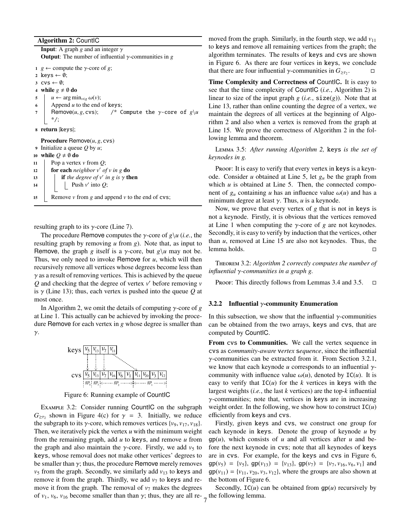```
Algorithm 2: CountlC
```
**Input:** A graph *g* and an integer  $\gamma$ **Output:** The number of influential  $\gamma$ -communities in *g* <sup>1</sup> *g* ← compute the γ-core of *g*; 2 keys  $\leftarrow \emptyset$ ; 3  $\text{cvs} \leftarrow \emptyset$ ; 4 while  $g \neq \emptyset$  do<br>5  $\downarrow u \leftarrow \text{arg mi}$  $u$  ← arg min<sub>v∈*g*</sub>  $\omega(v)$ ; 6 | Append  $u$  to the end of keys;  $7$  | Remove(*u*, *g*, cvs); /\* Compute the  $\gamma$ -core of  $g\$ u \*/; <sup>8</sup> return |keys|; Procedure Remove(*u*, *g*, cvs) <sup>9</sup> Initialize a queue *Q* by *u*; 10 **while**  $Q \neq \emptyset$  **do**<br>11 Pop a vertex Pop a vertex *v* from *Q*; 12 **for each** *neighbor*  $v'$  *of*  $v$  *in g* **do** 

13 **if** the degree of v' in g is  $\gamma$  then

14 | | Push  $v'$  into  $Q$ ;

15 Remove  $\nu$  from  $g$  and append  $\nu$  to the end of cvs;

resulting graph to its  $\gamma$ -core (Line 7).

The procedure Remove computes the γ-core of *g*\*u* (*i.e.*, the resulting graph by removing *u* from *g*). Note that, as input to Remove, the graph *g* itself is a *γ*-core, but  $g\u$  may not be. Thus, we only need to invoke Remove for *u*, which will then recursively remove all vertices whose degrees become less than  $\gamma$  as a result of removing vertices. This is achieved by the queue *Q* and checking that the degree of vertex *v* <sup>0</sup> before removing *v* is γ (Line 13); thus, each vertex is pushed into the queue *Q* at most once.

In Algorithm 2, we omit the details of computing γ-core of *g* at Line 1. This actually can be achieved by invoking the procedure Remove for each vertex in *g* whose degree is smaller than γ.



Figure 6: Running example of CountlC

EXAMPLE 3.2: Consider running CountIC on the subgraph  $G_{\geq \tau_2}$  shown in Figure 4(c) for  $\gamma = 3$ . Initially, we reduce the subgraph to its  $\gamma$ -core, which removes vertices  $\{v_9, v_{17}, v_{18}\}.$ Then, we iteratively pick the vertex *u* with the minimum weight from the remaining graph, add *u* to keys, and remove *u* from the graph and also maintain the  $\gamma$ -core. Firstly, we add  $v_5$  to keys, whose removal does not make other vertices' degrees to be smaller than  $\gamma$ ; thus, the procedure Remove merely removes  $v_5$  from the graph. Secondly, we similarly add  $v_{13}$  to keys and remove it from the graph. Thirdly, we add  $v_7$  to keys and remove it from the graph. The removal of  $v_7$  makes the degrees of  $v_1$ ,  $v_6$ ,  $v_{16}$  become smaller than than  $\gamma$ ; thus, they are all re-  $\frac{1}{7}$  the following lemma.

moved from the graph. Similarly, in the fourth step, we add  $v_{11}$ to keys and remove all remaining vertices from the graph; the algorithm terminates. The results of keys and cvs are shown in Figure 6. As there are four vertices in keys, we conclude that there are four influential *γ*-communities in  $G_{\geq 7}$ . .

Time Complexity and Correctness of CountIC. It is easy to see that the time complexity of CountIC (*i.e.*, Algorithm 2) is linear to size of the input graph  $g$  (*i.e.*,  $size(g)$ ). Note that at Line 13, rather than online counting the degree of a vertex, we maintain the degrees of all vertices at the beginning of Algorithm 2 and also when a vertex is removed from the graph at Line 15. We prove the correctness of Algorithm 2 in the following lemma and theorem.

Lemma 3.5: *After running Algorithm 2,* keys *is the set of keynodes in g.*

Proof: It is easy to verify that every vertex in keys is a keynode. Consider *u* obtained at Line 5, let *g<sup>u</sup>* be the graph from which  $u$  is obtained at Line 5. Then, the connected component of  $g_u$  containing *u* has an influence value  $\omega(u)$  and has a minimum degree at least  $\gamma$ . Thus,  $u$  is a keynode.

Now, we prove that every vertex of *g* that is not in keys is not a keynode. Firstly, it is obvious that the vertices removed at Line 1 when computing the  $\gamma$ -core of *g* are not keynodes. Secondly, it is easy to verify by induction that the vertices, other than *u*, removed at Line 15 are also not keynodes. Thus, the lemma holds.

Theorem 3.2: *Algorithm 2 correctly computes the number of influential* γ*-communities in a graph g.*

PROOF: This directly follows from Lemmas 3.4 and 3.5.  $\Box$ 

#### 3.2.2 Influential γ-community Enumeration

In this subsection, we show that the influential  $\gamma$ -communities can be obtained from the two arrays, keys and cvs, that are computed by CountIC.

From cvs to Communities. We call the vertex sequence in cvs as c*ommunity-aware* v*ertex* s*equence*, since the influential γ-communities can be extracted from it. From Section 3.2.1, we know that each keynode *u* corresponds to an influential γcommunity with influence value  $\omega(u)$ , denoted by IC(*u*). It is easy to verify that  $IC(u)$  for the *k* vertices in keys with the largest weights (*i.e.*, the last *k* vertices) are the top-*k* influential  $\gamma$ -communities; note that, vertices in keys are in increasing weight order. In the following, we show how to construct  $IC(u)$ efficiently from keys and cvs.

Firstly, given keys and cvs, we construct one group for each keynode in keys. Denote the group of keynode *u* by  $gp(u)$ , which consists of *u* and all vertices after *u* and before the next keynode in cvs; note that all keynodes of keys are in cvs. For example, for the keys and cvs in Figure 6,  $gp(v_5) = \{v_5\}$ ,  $gp(v_{13}) = \{v_{13}\}$ ,  $gp(v_7) = \{v_7, v_{16}, v_6, v_1\}$  and  $gp(v_{11}) = \{v_{11}, v_{20}, v_3, v_{12}\}$ , where the groups are also shown at the bottom of Figure 6.

Secondly,  $IC(u)$  can be obtained from  $gp(u)$  recursively by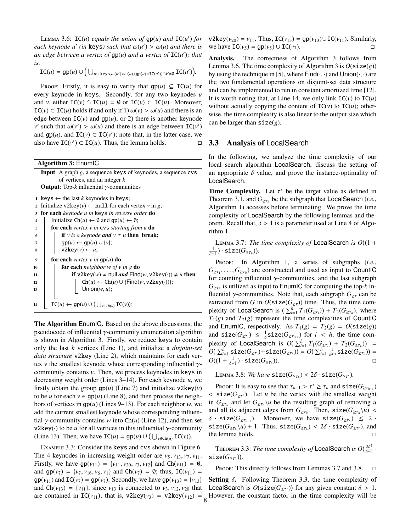LEMMA 3.6:  $IC(u)$  *equals the union of*  $gp(u)$  *and*  $IC(u')$  *for each keynode*  $u'$  (*in* **keys**) such that  $\omega(u') > \omega(u)$  and there is *an edge between a vertex of* gp(*u*) *and a vertex of* IC(*u* 0 )*; that is,*

 $\text{IC}(u) = \text{gp}(u) \cup \left( \bigcup_{u' \in \text{keys}, \omega(u') > \omega(u), (\text{gp}(u) \times \text{IC}(u')) \cap E \neq \emptyset} \text{IC}(u') \right).$ 

PROOF: Firstly, it is easy to verify that  $gp(u) \subseteq IC(u)$  for every keynode in keys. Secondly, for any two keynodes *u* and *v*, either  $IC(v) \cap IC(u) = \emptyset$  or  $IC(v) \subset IC(u)$ . Moreover,  $IC(v) \subset IC(u)$  holds if and only if 1)  $\omega(v) > \omega(u)$  and there is an edge between  $IC(v)$  and  $gp(u)$ , or 2) there is another keynode *v*' such that  $\omega(v') > \omega(u)$  and there is an edge between  $IC(v')$ and  $gp(u)$ , and  $IC(v) \subset IC(v')$ ; note that, in the latter case, we also have  $IC(v') \subset IC(u)$ . Thus, the lemma holds.  $\square$ 

Algorithm 3: EnumIC Input: A graph *g*, a sequence keys of keynodes, a sequence cvs of vertices, and an integer *k* Output: Top-*k* influential γ-communities 1 keys  $\leftarrow$  the last *k* keynodes in keys; 2 Initialize  $v2key(v) \leftarrow null$  for each vertex *v* in *g*; <sup>3</sup> for each *keynode u in* keys *in reverse order* do <sup>4</sup> Initialize Ch(*u*) ← ∅ and gp(*u*) ← ∅; <sup>5</sup> for each *vertex v in* cvs *starting from u* do 6 **i** if *v* is a keynode **and**  $v \neq u$  **then** break;  $\begin{array}{c|c} \hline \tau & \text{gr}(u) \leftarrow \text{gp}(u) \cup \{v\};\ \hline \mathbf{s} & \text{v2key}(v) \leftarrow u;\ \hline \end{array}$  $v2key(v) \leftarrow u;$ <sup>9</sup> for each *vertex v in* gp(*u*) do <sup>10</sup> for each *neighbor w of v in g* do 11 **if**  $v2key(w) \neq null$  and  $Find(w, v2key(\cdot)) \neq u$  then<br>
12 **ch**(*u*)  $\leftarrow$  Ch(*u*)  $\cup$  {Find(*w*, v2key(·))}:  $Ch(u)$  ←  $Ch(u)$  ∪ {Find(*w*, v2key(·))}; <sup>13</sup> Union(*w*, *u*); 14  $\bigcup_{v \in \text{Ch}(u)} \text{IC}(u) \leftarrow \text{gp}(u) \cup (\bigcup_{v \in \text{Ch}(u)} \text{IC}(v));$ 

The Algorithm EnumIC. Based on the above discussions, the pseudocode of influential  $\gamma$ -community enumeration algorithm is shown in Algorithm 3. Firstly, we reduce keys to contain only the last *k* vertices (Line 1), and initialize a *disjoint-set data structure* v2key (Line 2), which maintains for each vertex *v* the smallest keynode whose corresponding influential  $\gamma$ community contains *v*. Then, we process keynodes in keys in decreasing weight order (Lines 3–14). For each keynode *u*, we firstly obtain the group  $gp(u)$  (Line 7) and initialize  $v2key(v)$ to be *u* for each  $v \in gp(u)$  (Line 8), and then process the neighbors of vertices in gp(*u*) (Lines 9–13). For each neighbor *w*, we add the current smallest keynode whose corresponding influential  $\gamma$ -community contains *w* into Ch(*u*) (Line 12), and then set v2key( $\cdot$ ) to be *u* for all vertices in this influential γ-community (Line 13). Then, we have  $IC(u) = gp(u) \cup (\bigcup_{v \in Ch(u)} IC(v))$ .

Example 3.3: Consider the keys and cvs shown in Figure 6. The 4 keynodes in increasing weight order are  $v_5$ ,  $v_{13}$ ,  $v_7$ ,  $v_{11}$ . Firstly, we have  $gp(v_{11}) = \{v_{11}, v_{20}, v_3, v_{12}\}$  and  $Ch(v_{11}) = \emptyset$ , and  $gp(v_7) = \{v_7, v_{16}, v_6, v_1\}$  and  $Ch(v_7) = \emptyset$ ; thus,  $IC(v_{11}) =$  $gp(v_{11})$  and  $IC(v_7) = gp(v_7)$ . Secondly, we have  $gp(v_{13}) = \{v_{13}\}\$ and Ch( $v_{13}$ ) = { $v_{11}$ }, since  $v_{13}$  is connected to  $v_3$ ,  $v_{12}$ ,  $v_{20}$  that v2key(*v*<sub>20</sub>) = *v*<sub>11</sub>. Thus, IC(*v*<sub>13</sub>) = gp(*v*<sub>13</sub>)∪IC(*v*<sub>11</sub>). Similarly, we have  $TC(v_5) = qp(v_5) \cup TC(v_7)$ . we have  $IC(v_5) = gp(v_5) ∪ IC(v_7)$ .

Analysis. The correctness of Algorithm 3 follows from Lemma 3.6. The time complexity of Algorithm 3 is  $O(\text{size}(g))$ by using the technique in [5], where  $Find(\cdot, \cdot)$  and  $Union(\cdot, \cdot)$  are the two fundamental operations on disjoint-set data structure and can be implemented to run in constant amortized time [12]. It is worth noting that, at Line 14, we only link  $IC(v)$  to  $IC(u)$ without actually copying the content of  $IC(v)$  to  $IC(u)$ ; otherwise, the time complexity is also linear to the output size which can be larger than  $size(g)$ .

#### 3.3 Analysis of LocalSearch

In the following, we analyze the time complexity of our local search algorithm LocalSearch, discuss the setting of an appropriate  $\delta$  value, and prove the instance-optimality of LocalSearch.

**Time Complexity.** Let  $\tau^*$  be the target value as defined in Theorem 3.1, and  $G_{\geq \tau_h}$  be the subgraph that LocalSearch (*i.e.*, Algorithm 1) accesses before terminating. We prove the time complexity of LocalSearch by the following lemmas and theorem. Recall that,  $\delta > 1$  is a parameter used at Line 4 of Algorithm 1.

Lemma 3.7: *The time complexity of* LocalSearch *is O* (1 +  $\frac{1}{\delta-1}) \cdot \texttt{size}(G_{\geq \tau_h})$ ).

Proof: In Algorithm 1, a series of subgraphs (*i.e.*,  $G_{\geq \tau_1}, \ldots, G_{\geq \tau_h}$  are constructed and used as input to CountIC for counting influential  $\gamma$ -communities, and the last subgraph  $G_{\geq \tau_h}$  is utilized as input to EnumIC for computing the top-*k* influential γ-communities. Note that, each subgraph  $G_{\geq \tau}$  can be extracted from *G* in  $O(\text{size}(G_{\geq \tau}))$  time. Thus, the time complexity of LocalSearch is  $(\sum_{i=1}^{h} T_1(G_{\geq \tau_i})) + T_2(G_{\geq \tau_h})$ , where  $T_1(g)$  and  $T_2(g)$  represent the time complexities of CountIC and EnumIC, respectively. As  $T_1(g) = T_2(g) = O(\text{size}(g))$ and  $size(G_{\geq \tau_i}) \leq \frac{1}{\delta}size(G_{\geq \tau_{i+1}})$  for  $i < h$ , the time complexity of LocalSearch is  $O(\sum_{i=1}^{h} T_1(G_{\geq \tau_i}) + T_2(G_{\geq \tau_h})) =$  $O(\sum_{i=1}^h \texttt{size}(G_{\geq\tau_i}) + \texttt{size}(G_{\geq\tau_h})) = O(\sum_{i=1}^h \frac{1}{\delta^{h-i}}\texttt{size}(G_{\geq\tau_h})) =$  $O((1 + \frac{1}{\delta-1}) \cdot \texttt{size}(G_{\geq \tau_h}))$ )).  $\qquad \qquad \Box$ 

Lemma 3.8: *We have*  $size(G_{\geq \tau_h}) < 2\delta \cdot size(G_{\geq \tau^*})$ .

Proof: It is easy to see that  $\tau_{h-1} > \tau^* \geq \tau_h$  and  $size(G_{\geq \tau_{h-1}})$  $\leq$  size( $G_{\geq \tau^*}$ ). Let *u* be the vertex with the smallest weight in  $G_{\geq \tau_h}$  and let  $G_{\geq \tau_h} \setminus u$  be the resulting graph of removing *u* and all its adjacent edges from  $G_{\geq \tau_h}$ . Then,  $\text{size}(G_{\geq \tau_h}\setminus u)$  <  $\delta$  · size( $G_{\geq \tau_{h-1}}$ ). Moreover, we have size( $G_{\geq \tau_h}$ ) ≤ 2 ·  $size(G_{\geq\tau_h}\backslash u) + 1$ . Thus,  $size(G_{\geq\tau_h}) < 2\delta \cdot size(G_{\geq\tau^*})$ , and the lemma holds.

THEOREM 3.3: *The time complexity of* LocalSearch *is*  $O(\frac{2\delta^2}{\delta-1})$  $\frac{20}{\delta-1}$ .  $size(G_{\geq \tau^*})$ ).

**PROOF:** This directly follows from Lemmas 3.7 and 3.8.  $\Box$ 

are contained in  $IC(v_{11})$ ; that is,  $v2key(v_3) = v2key(v_{12}) = 8$  However, the constant factor in the time complexity will be Setting  $\delta$ . Following Theorem 3.3, the time complexity of LocalSearch is  $O(\text{size}(G_{\geq \tau^*}))$  for any given constant  $\delta > 1$ .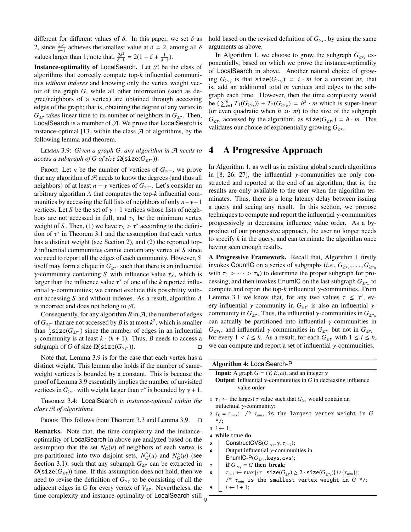different for different values of  $\delta$ . In this paper, we set  $\delta$  as 2, since  $\frac{2\delta^2}{\delta-1}$  $\frac{2\delta^2}{\delta-1}$  achieves the smallest value at  $\delta = 2$ , among all  $\delta$ values larger than 1; note that,  $\frac{2\delta^2}{\delta-1}$  $\frac{2\delta^2}{\delta-1} = 2(1+\delta+\frac{1}{\delta-1}).$ 

Instance-optimality of LocalSearch. Let  $A$  be the class of algorithms that correctly compute top-*k* influential communities *without indexes* and knowing only the vertex weight vector of the graph *G*, while all other information (such as degree/neighbors of a vertex) are obtained through accessing edges of the graph; that is, obtaining the degree of any vertex in  $G_{\geq \tau}$  takes linear time to its number of neighbors in  $G_{\geq \tau}$ . Then, LocalSearch is a member of  $A$ . We prove that LocalSearch is instance-optimal [13] within the class  $\mathcal A$  of algorithms, by the following lemma and theorem.

Lemma 3.9: *Given a graph G, any algorithm in* A *needs to*  $access\ a\ subgraph\ of\ G\ of\ size\ \Omega(\texttt{size}(G_{\geq\tau^*})).$ 

Proof: Let *n* be the number of vertices of  $G_{\geq \tau^*}$ , we prove that any algorithm of  $A$  needs to know the degrees (and thus all neighbors) of at least  $n - \gamma$  vertices of  $G_{\geq \tau^*}$ . Let's consider an arbitrary algorithm *A* that computes the top-*k* influential communities by accessing the full lists of neighbors of only *n*−γ−1 vertices. Let *S* be the set of  $\gamma + 1$  vertices whose lists of neighbors are not accessed in full, and  $\tau<sub>S</sub>$  be the minimum vertex weight of *S*. Then, (1) we have  $\tau_s > \tau^*$  according to the definition of  $\tau^*$  in Theorem 3.1 and the assumption that each vertex has a distinct weight (see Section 2), and (2) the reported top*k* influential communities cannot contain any vertex of *S* since we need to report all the edges of each community. However, *S* itself may form a clique in  $G_{\geq \tau^*}$  such that there is an influential *γ*-community containing *S* with influence value  $τ<sub>S</sub>$ , which is larger than the influence value  $\tau^*$  of one of the *k* reported influential  $\gamma$ -communities; we cannot exclude this possibility without accessing *S* and without indexes. As a result, algorithm *A* is incorrect and does not belong to  $\mathcal{A}$ .

Consequently, for any algorithm  $B$  in  $\mathcal{A}$ , the number of edges of  $G_{\geq \tau^*}$  that are not accessed by *B* is at most  $k^2$ , which is smaller than  $\frac{1}{2}$ **size**( $G_{\geq \tau^*}$ ) since the number of edges in an influential *γ*-community is at least  $k \cdot (k + 1)$ . Thus, *B* needs to access a subgraph of *G* of size  $\Omega$ (size(*G*<sub>>*r*<sup>+</sup>)</sub>). subgraph of *G* of size  $\Omega$ (size(*G*<sub>≥τ<sup>\*</sup>)</sub>) .

Note that, Lemma 3.9 is for the case that each vertex has a distinct weight. This lemma also holds if the number of sameweight vertices is bounded by a constant. This is because the proof of Lemma 3.9 essentially implies the number of unvisited vertices in  $G_{\geq \tau^*}$  with weight larger than  $\tau^*$  is bounded by  $\gamma + 1$ .

Theorem 3.4: LocalSearch *is instance-optimal within the class* A *of algorithms.*

PROOF: This follows from Theorem 3.3 and Lemma 3.9.  $\Box$ 

Remarks. Note that, the time complexity and the instanceoptimality of LocalSearch in above are analyzed based on the assumption that the set  $N_G(u)$  of neighbors of each vertex is pre-partitioned into two disjoint sets,  $N_G^{\geq}(u)$  and  $N_G^{\leq}(u)$  (see Section 3.1), such that any subgraph  $G_{\geq \tau}$  can be extracted in  $O(\text{size}(G_{\geq \tau}))$  time. If this assumption does not hold, then we need to revise the definition of  $G_{\geq \tau}$  to be consisting of all the adjacent edges in *G* for every vertex of  $V_{\geq \tau}$ . Nevertheless, the time complexity and instance-optimality of LocalSearch still <sub>9</sub>

hold based on the revised definition of  $G_{\geq \tau}$ , by using the same arguments as above.

In Algorithm 1, we choose to grow the subgraph  $G_{\geq \tau_i}$  exponentially, based on which we prove the instance-optimality of LocalSearch in above. Another natural choice of grow- $\log G_{\geq \tau_i}$  is that  $\text{size}(G_{\geq \tau_i}) = i \cdot m$  for a constant *m*; that is, add an additional total *m* vertices and edges to the subgraph each time. However, then the time complexity would be  $\left(\sum_{i=1}^{h} T_1(G_{\geq \tau_i})\right) + T_2(G_{\geq \tau_h}) = h^2 \cdot m$  which is super-linear (or even quadratic when  $h \gg m$ ) to the size of the subgraph  $G_{\geq \tau_h}$  accessed by the algorithm, as  $size(G_{\geq \tau_h}) = h \cdot m$ . This validates our choice of exponentially growing *G*≥τ*<sup>i</sup>* .

### 4 A Progressive Approach

In Algorithm 1, as well as in existing global search algorithms in [8, 26, 27], the influential  $\gamma$ -communities are only constructed and reported at the end of an algorithm; that is, the results are only available to the user when the algorithm terminates. Thus, there is a long latency delay between issuing a query and seeing any result. In this section, we propose techniques to compute and report the influential  $\gamma$ -communities progressively in decreasing influence value order. As a byproduct of our progressive approach, the user no longer needs to specify *k* in the query, and can terminate the algorithm once having seen enough results.

A Progressive Framework. Recall that, Algorithm 1 firstly invokes CountIC on a series of subgraphs (*i.e.*,  $G_{\geq \tau_1}, \ldots, G_{\geq \tau_h}$ with  $\tau_1 > \cdots > \tau_h$ ) to determine the proper subgraph for processing, and then invokes EnumIC on the last subgraph *G*≥τ*<sup>h</sup>* to compute and report the top- $k$  influential  $\gamma$ -communities. From Lemma 3.1 we know that, for any two values  $\tau \leq \tau'$ , every influential  $\gamma$ -community in  $G_{\geq \tau'}$  is also an influential  $\gamma$ community in  $G_{\geq \tau}$ . Thus, the influential γ-communities in  $G_{\geq \tau_h}$ can actually be partitioned into influential  $\gamma$ -communities in *G*<sub>≥τ1</sub>, and influential γ-communities in *G*<sub>≥τ*i*</sub></sub> but not in *G*<sub>≥τ*i*−1</sub> for every  $1 < i \leq h$ . As a result, for each  $G_{\geq \tau_i}$  with  $1 \leq i \leq h$ , we can compute and report a set of influential  $\gamma$ -communities.

| Algorithm 4: LocalSearch-P                                           |                                                                                                                                           |  |  |  |  |  |  |  |
|----------------------------------------------------------------------|-------------------------------------------------------------------------------------------------------------------------------------------|--|--|--|--|--|--|--|
| <b>Input:</b> A graph $G = (V, E, \omega)$ , and an integer $\gamma$ |                                                                                                                                           |  |  |  |  |  |  |  |
|                                                                      | <b>Output:</b> Influential $\gamma$ -communities in G in decreasing influence<br>value order                                              |  |  |  |  |  |  |  |
|                                                                      | $1 \tau_1 \leftarrow$ the largest $\tau$ value such that $G_{\geq \tau}$ would contain an                                                 |  |  |  |  |  |  |  |
|                                                                      | influential $\gamma$ -community;                                                                                                          |  |  |  |  |  |  |  |
|                                                                      | 2 $\tau_0 = \tau_{max}$ ; /* $\tau_{max}$ is the largest vertex weight in G                                                               |  |  |  |  |  |  |  |
|                                                                      | $*$ /:                                                                                                                                    |  |  |  |  |  |  |  |
|                                                                      | $i \leftarrow 1$ :                                                                                                                        |  |  |  |  |  |  |  |
|                                                                      | 4 while true do                                                                                                                           |  |  |  |  |  |  |  |
| 5                                                                    | ConstructCVS $(G_{\geq \tau_i}, \gamma, \tau_{i-1});$                                                                                     |  |  |  |  |  |  |  |
| 6                                                                    | Output influential $\gamma$ -communities in                                                                                               |  |  |  |  |  |  |  |
|                                                                      | EnumIC-P( $G_{\geq \tau_i}$ , keys, cvs);                                                                                                 |  |  |  |  |  |  |  |
| 7                                                                    | if $G_{\geq \tau_i} = G$ then break;                                                                                                      |  |  |  |  |  |  |  |
| 8                                                                    | $\tau_{i+1} \leftarrow \max \{ \{\tau \mid \text{size}(G_{\gt \tau}) \geq 2 \cdot \text{size}(G_{\gt \tau_i}) \} \cup \{\tau_{min}\} \};$ |  |  |  |  |  |  |  |
|                                                                      | /* $\tau_{min}$ is the smallest vertex weight in $G \cdot \frac{1}{2}$ ;                                                                  |  |  |  |  |  |  |  |

```
i \leftarrow i + 1;
```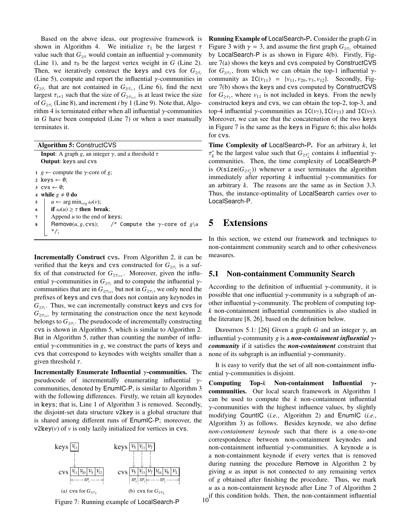Based on the above ideas, our progressive framework is shown in Algorithm 4. We initialize  $\tau_1$  be the largest  $\tau$ value such that  $G_{\geq \tau}$  would contain an influential  $\gamma$ -community (Line 1), and  $\tau_0$  be the largest vertex weight in *G* (Line 2). Then, we iteratively construct the keys and cvs for  $G_{\geq \tau_i}$ (Line 5), compute and report the influential  $\gamma$ -communities in  $G_{\geq \tau_i}$  that are not contained in  $G_{\geq \tau_{i-1}}$  (Line 6), find the next largest  $\tau_{i+1}$  such that the size of  $G_{\geq \tau_{i+1}}$  is at least twice the size of *G*≥τ*<sup>i</sup>* (Line 8), and increment *i* by 1 (Line 9). Note that, Algorithm 4 is terminated either when all influential  $\gamma$ -communities in *G* have been computed (Line 7) or when a user manually terminates it.

| <b>Algorithm 5: ConstructCVS</b>                                                                                                                                                                                                                                                                                                                                                   |  |  |  |  |  |  |
|------------------------------------------------------------------------------------------------------------------------------------------------------------------------------------------------------------------------------------------------------------------------------------------------------------------------------------------------------------------------------------|--|--|--|--|--|--|
| <b>Input:</b> A graph g, an integer $\gamma$ , and a threshold $\tau$                                                                                                                                                                                                                                                                                                              |  |  |  |  |  |  |
| <b>Output:</b> keys and cys                                                                                                                                                                                                                                                                                                                                                        |  |  |  |  |  |  |
| $1 \, g \leftarrow$ compute the y-core of g;<br>2 keys $\leftarrow \emptyset$ :<br>3 CVS $\leftarrow \emptyset$ :<br>4 while $g \neq \emptyset$ do<br>$u \leftarrow \arg \min_{v \in g} \omega(v);$<br>5<br>if $\omega(u) \geq \tau$ then break;<br>6<br>Append $u$ to the end of keys;<br>7<br>Remove( <i>u</i> , <i>g</i> , cvs); /* Compute the y-core of $g \ u$<br>8<br>$^*/$ |  |  |  |  |  |  |
|                                                                                                                                                                                                                                                                                                                                                                                    |  |  |  |  |  |  |

Incrementally Construct cvs. From Algorithm 2, it can be verified that the keys and cvs constructed for  $G_{\geq \tau_i}$  is a suffix of that constructed for  $G_{\geq \tau_{i+1}}$ . Moreover, given the influential  $\gamma$ -communities in  $G_{\geq \tau_i}$  and to compute the influential  $\gamma$ communities that are in  $G_{\geq \tau_{i+1}}$  but not in  $G_{\geq \tau_i}$ , we only need the prefixes of keys and cvs that does not contain any keynodes in  $G_{\geq \tau_i}$ . Thus, we can incrementally construct keys and cvs for  $G_{\geq \tau_{i+1}}$  by terminating the construction once the next keynode belongs to  $G_{\geq \tau_i}$ . The pseudocode of incrementally constructing cvs is shown in Algorithm 5, which is similar to Algorithm 2. But in Algorithm 5, rather than counting the number of influential  $\gamma$ -communities in *g*, we construct the parts of keys and cvs that correspond to keynodes with weights smaller than a given threshold  $\tau$ .

Incrementally Enumerate Influential  $\gamma$ -communities. The pseudocode of incrementally enumerating influential  $\gamma$ communities, denoted by EnumIC-P, is similar to Algorithm 3 with the following differences. Firstly, we retain all keynodes in keys; that is, Line 1 of Algorithm 3 is removed. Secondly, the disjoint-set data structure v2key is a global structure that is shared among different runs of EnumIC-P; moreover, the  $v2key(v)$  of  $v$  is only lazily initialized for vertices in cvs.





Running Example of LocalSearch-P. Consider the graph *G* in Figure 3 with  $\gamma = 3$ , and assume the first graph  $G_{\geq \tau_1}$  obtained by LocalSearch-P is as shown in Figure 4(b). Firstly, Figure 7(a) shows the keys and cvs computed by ConstructCVS for  $G_{\geq \tau_1}$ , from which we can obtain the top-1 influential  $\gamma$ community as  $IC(v_{11}) = \{v_{11}, v_{20}, v_3, v_{12}\}.$  Secondly, Figure 7(b) shows the keys and cvs computed by ConstructCVS for  $G_{\geq \tau_2}$ , where  $v_{11}$  is not included in keys. From the newly constructed keys and cvs, we can obtain the top-2, top-3, and top-4 influential γ-communities as  $IC(v_7)$ ,  $IC(v_{13})$  and  $IC(v_5)$ . Moreover, we can see that the concatenation of the two keys in Figure 7 is the same as the keys in Figure 6; this also holds for cvs.

Time Complexity of LocalSearch-P. For an arbitrary *k*, let  $τ_k^*$  be the largest value such that  $G_{≥τ_k^*}$  contains *k* influential γcommunities. Then, the time complexity of LocalSearch-P is  $O(\text{size}(G_{\geq \tau_k^*}))$  whenever a user terminates the algorithm immediately after reporting  $k$  influential  $\gamma$ -communities for an arbitrary *k*. The reasons are the same as in Section 3.3. Thus, the instance-optimality of LocalSearch carries over to LocalSearch-P.

## 5 Extensions

In this section, we extend our framework and techniques to non-containment community search and to other cohesiveness measures.

#### 5.1 Non-containment Community Search

According to the definition of influential  $\gamma$ -community, it is possible that one influential  $\gamma$ -community is a subgraph of another influential  $\gamma$ -community. The problem of computing top*k* non-containment influential communities is also studied in the literature [8, 26], based on the definition below.

DEFINITION 5.1: [26] Given a graph *G* and an integer  $\gamma$ , an influential γ-community *g* is a *non-containment influential* γ*community* if it satisfies the *non-containment* constraint that none of its subgraph is an influential  $γ$ -community.

It is easy to verify that the set of all non-containment influential  $\gamma$ -communities is disjoint.

Computing Top-*k* Non-containment Influential γcommunities. Our local search framework in Algorithm 1 can be used to compute the *k* non-containment influential  $\gamma$ -communities with the highest influence values, by slightly modifying CountIC (*i.e.*, Algorithm 2) and EnumIC (*i.e.*, Algorithm 3) as follows. Besides keynode, we also define *non-containment keynode* such that there is a one-to-one correspondence between non-containment keynodes and non-containment influential γ-communities. A keynode *u* is a non-containment keynode if every vertex that is removed during running the procedure Remove in Algorithm 2 by giving *u* as input is not connected to any remaining vertex of *g* obtained after finishing the procedure. Thus, we mark *u* as a non-containment keynode after Line 7 of Algorithm 2  $\frac{1}{10}$  if this condition holds. Then, the non-containment influential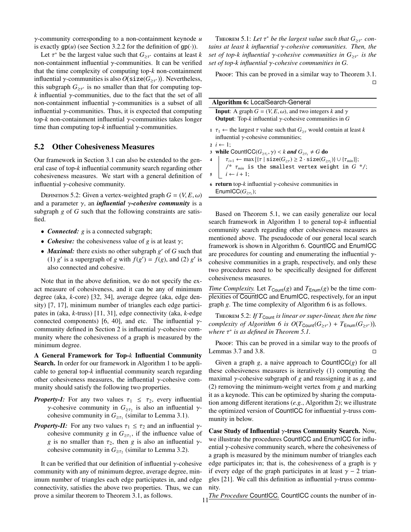γ-community corresponding to a non-containment keynode *u* is exactly  $gp(u)$  (see Section 3.2.2 for the definition of  $gp(\cdot)$ ).

Let  $\tau^*$  be the largest value such that  $G_{\geq \tau^*}$  contains at least *k* non-containment influential  $γ$ -communities. It can be verified that the time complexity of computing top-*k* non-containment influential γ-communities is also  $O(\texttt{size}(G_{\geq \tau^*}))$ . Nevertheless, this subgraph  $G_{\geq \tau^*}$  is no smaller than that for computing top $k$  influential  $\gamma$ -communities, due to the fact that the set of all non-containment influential  $γ$ -communities is a subset of all influential γ-communities. Thus, it is expected that computing top-*k* non-containment influential γ-communities takes longer time than computing top- $k$  influential  $\gamma$ -communities.

#### 5.2 Other Cohesiveness Measures

Our framework in Section 3.1 can also be extended to the general case of top-*k* influential community search regarding other cohesiveness measures. We start with a general definition of influential  $\gamma$ -cohesive community.

DEFINITION 5.2: Given a vertex-weighted graph  $G = (V, E, \omega)$ and a parameter  $\gamma$ , an *influential*  $\gamma$ -cohesive community is a subgraph *g* of *G* such that the following constraints are satisfied.

- *Connected: g* is a connected subgraph;
- *Cohesive:* the cohesiveness value of *g* is at least  $\gamma$ ;
- *Maximal:* there exists no other subgraph *g*' of *G* such that (1)  $g'$  is a supergraph of *g* with  $f(g') = f(g)$ , and (2)  $g'$  is also connected and cohesive.

Note that in the above definition, we do not specify the exact measure of cohesiveness, and it can be any of minimum degree (aka, *k*-core) [32, 34], average degree (aka, edge density) [7, 17], minimum number of triangles each edge participates in (aka, *k*-truss) [11, 31], edge connectivity (aka, *k*-edge connected components) [6, 40], and etc. The influential  $\gamma$ community defined in Section 2 is influential  $\gamma$ -cohesive community where the cohesiveness of a graph is measured by the minimum degree.

A General Framework for Top-*k* Influential Community Search. In order for our framework in Algorithm 1 to be applicable to general top-*k* influential community search regarding other cohesiveness measures, the influential  $\gamma$ -cohesive community should satisfy the following two properties.

- *Property-I:* For any two values  $\tau_1 \leq \tau_2$ , every influential *γ*-cohesive community in  $G_{\geq \tau_2}$  is also an influential *γ*cohesive community in  $G_{\geq \tau_1}$  (similar to Lemma 3.1).
- *Property-II:* For any two values  $\tau_1 \leq \tau_2$  and an influential  $\gamma$ cohesive community *g* in  $G_{\geq \tau_1}$ , if the influence value of *g* is no smaller than  $\tau_2$ , then *g* is also an influential  $\gamma$ cohesive community in  $G_{\geq \tau_2}$  (similar to Lemma 3.2).

It can be verified that our definition of influential  $\gamma$ -cohesive community with any of minimum degree, average degree, minimum number of triangles each edge participates in, and edge connectivity, satisfies the above two properties. Thus, we can prove a similar theorem to Theorem 3.1, as follows.

THEOREM 5.1: Let  $\tau^*$  be the largest value such that  $G_{\geq \tau^*}$  con*tains at least k influential* γ*-cohesive communities. Then, the set of top-k influential* γ*-cohesive communities in G*≥<sup>τ</sup> <sup>∗</sup> *is the set of top-k influential* γ*-cohesive communities in G.*

Proof: This can be proved in a similar way to Theorem 3.1.  $\Box$ 

| Algorithm 6: LocalSearch-General                                             |  |  |  |  |  |
|------------------------------------------------------------------------------|--|--|--|--|--|
| <b>Input:</b> A graph $G = (V, E, \omega)$ , and two integers k and $\gamma$ |  |  |  |  |  |
| <b>Output:</b> Top-k influential $\gamma$ -cohesive communities in G         |  |  |  |  |  |

1  $\tau_1$  ← the largest  $\tau$  value such that  $G_{\geq \tau}$  would contain at least *k* influential  $γ$ -cohesive communities;

 $2 i \leftarrow 1$ ;

3 while CountICC( $G_{\geq \tau_i}$ ,  $\gamma$ ) < *k* and  $G_{\geq \tau_i} \neq G$  do

 $\tau_{i+1} \leftarrow \max\left\{ \{\tau \mid \texttt{size}(G_{\geq \tau}) \geq 2 \cdot \texttt{size}(G_{\geq \tau_i}) \} \cup \{\tau_{min}\} \right\};$ /\* τ*min* is the smallest vertex weight in *G* \*/;

 $\mathbf{5}$   $i \leftarrow i + 1;$ 

6 **return** top- $k$  influential  $\gamma$ -cohesive communities in EnumICC( $G_{\geq \tau_i}$ );

Based on Theorem 5.1, we can easily generalize our local search framework in Algorithm 1 to general top-*k* influential community search regarding other cohesiveness measures as mentioned above. The pseudocode of our general local search framework is shown in Algorithm 6. CountICC and EnumICC are procedures for counting and enumerating the influential  $\gamma$ cohesive communities in a graph, respectively, and only these two procedures need to be specifically designed for different cohesiveness measures.

*Time Complexity.* Let  $T_{Count}(g)$  and  $T_{Enum}(g)$  be the time complexities of CountICC and EnumICC, respectively, for an input graph *g*. The time complexity of Algorithm 6 is as follows.

THEOREM 5.2: *If*  $T_{\text{Count}}$  *is linear or super-linear, then the time*  $complexity$  *of Algorithm 6 is*  $O(T_{Count}(G_{\geq \tau^*}) + T_{Enum}(G_{\geq \tau^*}))$ *, where* τ ∗ *is as defined in Theorem 5.1.*

PROOF: This can be proved in a similar way to the proofs of Lemmas 3.7 and 3.8.  $\Box$ 

Given a graph *g*, a naive approach to CountICC(*g*) for all these cohesiveness measures is iteratively (1) computing the maximal γ-cohesive subgraph of *g* and reassigning it as *g*, and (2) removing the minimum-weight vertex from *g* and marking it as a keynode. This can be optimized by sharing the computation among different iterations (*e.g.*, Algorithm 2); we illustrate the optimized version of CountICC for influential  $\gamma$ -truss community in below.

Case Study of Influential  $\gamma$ -truss Community Search. Now, we illustrate the procedures CountICC and EnumICC for influential  $\gamma$ -cohesive community search, where the cohesiveness of a graph is measured by the minimum number of triangles each edge participates in; that is, the cohesiveness of a graph is  $\gamma$ if every edge of the graph participates in at least  $\gamma$  – 2 triangles [21]. We call this definition as influential  $\gamma$ -truss community.

*The Procedure* CountICC. CountICC counts the number of in-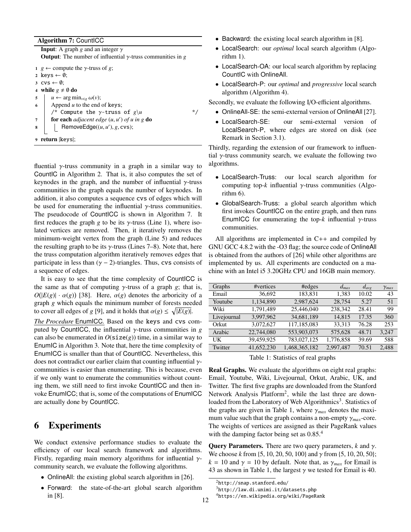Algorithm 7: CountICC

**Input:** A graph *g* and an integer  $\gamma$ **Output:** The number of influential  $\gamma$ -truss communities in *g* <sup>1</sup> *g* ← compute the γ-truss of *g*; 2 keys  $\leftarrow \emptyset$ ; 3  $\text{cvs} \leftarrow \emptyset$ ; 4 while  $g \neq \emptyset$  do 5  $u \leftarrow \arg \min_{v \in g} \omega(v);$ 6 Append  $u$  to the end of keys; /\* Compute the  $\gamma$ -truss of  $g \u$  \*/ <sup>7</sup> for each *adjacent edge* (*u*, *u* 0 ) *of u in g* do  $\mathbf{s}$  | RemoveEdge( $(u, u')$ ,  $g$ , cvs); <sup>9</sup> return |keys|;

fluential  $\gamma$ -truss community in a graph in a similar way to CountIC in Algorithm 2. That is, it also computes the set of keynodes in the graph, and the number of influential  $\gamma$ -truss communities in the graph equals the number of keynodes. In addition, it also computes a sequence cvs of edges which will be used for enumerating the influential  $\gamma$ -truss communities. The pseudocode of CountICC is shown in Algorithm 7. It first reduces the graph *g* to be its  $\gamma$ -truss (Line 1), where isolated vertices are removed. Then, it iteratively removes the minimum-weight vertex from the graph (Line 5) and reduces the resulting graph to be its  $\gamma$ -truss (Lines 7–8). Note that, here the truss computation algorithm iteratively removes edges that participate in less than  $(y - 2)$ -triangles. Thus, cvs consists of a sequence of edges.

It is easy to see that the time complexity of CountICC is the same as that of computing  $\gamma$ -truss of a graph *g*; that is,  $O(|E(g)| \cdot \alpha(g))$  [38]. Here,  $\alpha(g)$  denotes the arboricity of a graph *g* which equals the minimum number of forests needed to cover all edges of *g* [9], and it holds that  $\alpha(g) \le \sqrt{|E(g)|}$ .

*The Procedure* EnumICC*.* Based on the keys and cvs computed by CountICC, the influential  $\gamma$ -truss communities in *g* can also be enumerated in  $O(\text{size}(g))$  time, in a similar way to EnumIC in Algorithm 3. Note that, here the time complexity of EnumICC is smaller than that of CountICC. Nevertheless, this does not contradict our earlier claim that counting influential  $\gamma$ communities is easier than enumerating. This is because, even if we only want to enumerate the communities without counting them, we still need to first invoke CountICC and then invoke EnumICC; that is, some of the computations of EnumICC are actually done by CountICC.

# 6 Experiments

We conduct extensive performance studies to evaluate the efficiency of our local search framework and algorithms. Firstly, regarding main memory algorithms for influential  $\gamma$ community search, we evaluate the following algorithms.

- OnlineAll: the existing global search algorithm in [26].
- Forward: the state-of-the-art global search algorithm in [8].
- Backward: the existing local search algorithm in [8].
- LocalSearch: our *optimal* local search algorithm (Algorithm 1).
- LocalSearch-OA: our local search algorithm by replacing CountIC with OnlineAll.
- LocalSearch-P: our *optimal* and *progressive* local search algorithm (Algorithm 4).

Secondly, we evaluate the following I/O-efficient algorithms.

- OnlineAll-SE: the semi-external version of OnlineAll [27].
- LocalSearch-SE: our semi-external version of LocalSearch-P, where edges are stored on disk (see Remark in Section 3.1).

Thirdly, regarding the extension of our framework to influential  $\gamma$ -truss community search, we evaluate the following two algorithms.

- LocalSearch-Truss: our local search algorithm for computing top- $k$  influential  $\gamma$ -truss communities (Algorithm 6).
- GlobalSearch-Truss: a global search algorithm which first invokes CountICC on the entire graph, and then runs EnumICC for enumerating the top- $k$  influential  $\gamma$ -truss communities.

All algorithms are implemented in C++ and compiled by GNU GCC 4.8.2 with the -O3 flag; the source code of OnlineAll is obtained from the authors of [26] while other algorithms are implemented by us. All experiments are conducted on a machine with an Intel i5 3.20GHz CPU and 16GB main memory.

| Graphs      | #vertices  | #edges        | $d_{max}$ | $d_{ave}$ | $\gamma_{max}$ |
|-------------|------------|---------------|-----------|-----------|----------------|
| Email       | 36,692     | 183,831       | 1,383     | 10.02     | 43             |
| Youtube     | 1,134,890  | 2,987,624     | 28,754    | 5.27      | 51             |
| Wiki        | 1,791,489  | 25,446,040    | 238,342   | 28.41     | 99             |
| Livejournal | 3.997.962  | 34,681,189    | 14,815    | 17.35     | 360            |
| Orkut       | 3,072,627  | 117,185,083   | 33,313    | 76.28     | 253            |
| Arabic      | 22,744,080 | 553,903,073   | 575,628   | 48.71     | 3.247          |
| UK          | 39,459,925 | 783,027,125   | 1,776,858 | 39.69     | 588            |
| Twitter     | 41,652,230 | 1,468,365,182 | 2,997,487 | 70.51     | 2,488          |
|             |            |               |           |           |                |

Table 1: Statistics of real graphs

Real Graphs. We evaluate the algorithms on eight real graphs: Email, Youtube, Wiki, Livejournal, Orkut, Arabic, UK, and Twitter. The first five graphs are downloaded from the Stanford Network Analysis Platform<sup>2</sup>, while the last three are downloaded from the Laboratory of Web Algorithmics<sup>3</sup>. Statistics of the graphs are given in Table 1, where  $\gamma_{max}$  denotes the maximum value such that the graph contains a non-empty  $\gamma_{max}$ -core. The weights of vertices are assigned as their PageRank values with the damping factor being set as  $0.85<sup>4</sup>$ .

Query Parameters. There are two query parameters, *k* and γ. We choose *k* from {5, 10, 20, 50, 100} and γ from {5, 10, 20, 50};  $k = 10$  and  $\gamma = 10$  by default. Note that, as  $\gamma_{max}$  for Email is 43 as shown in Table 1, the largest  $\gamma$  we tested for Email is 40.

 $^{2}$ http://snap.stanford.edu/

 ${}^{3}$ http://law.di.unimi.it/datasets.php

<sup>12 &</sup>lt;sup>4</sup>https://en.wikipedia.org/wiki/PageRank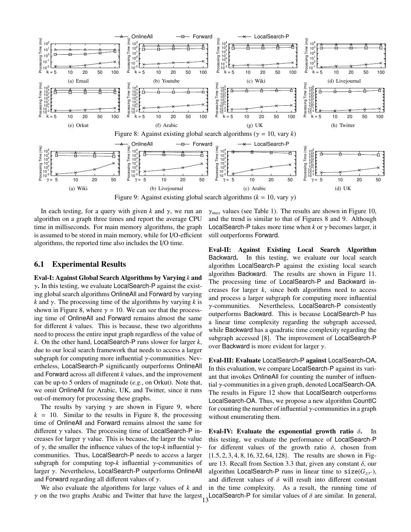

Figure 9: Against existing global search algorithms  $(k = 10, \text{ vary } \gamma)$ 

In each testing, for a query with given  $k$  and  $\gamma$ , we run an algorithm on a graph three times and report the average CPU time in milliseconds. For main memory algorithms, the graph is assumed to be stored in main memory, while for I/O-efficient algorithms, the reported time also includes the I/O time.

#### 6.1 Experimental Results

Eval-I: Against Global Search Algorithms by Varying *k* and  $\gamma$ . In this testing, we evaluate LocalSearch-P against the existing global search algorithms OnlineAll and Forward by varying  $k$  and  $\gamma$ . The processing time of the algorithms by varying  $k$  is shown in Figure 8, where  $\gamma = 10$ . We can see that the processing time of OnlineAll and Forward remains almost the same for different *k* values. This is because, these two algorithms need to process the entire input graph regardless of the value of *k*. On the other hand, LocalSearch-P runs slower for larger *k*, due to our local search framework that needs to access a larger subgraph for computing more influential  $\gamma$ -communities. Nevertheless, LocalSearch-P significantly outperforms OnlineAll and Forward across all different *k* values, and the improvement can be up-to 5 orders of magnitude (*e.g.*, on Orkut). Note that, we omit OnlineAll for Arabic, UK, and Twitter, since it runs out-of-memory for processing these graphs.

The results by varying  $\gamma$  are shown in Figure 9, where  $k = 10$ . Similar to the results in Figure 8, the processing time of OnlineAll and Forward remains almost the same for different  $\gamma$  values. The processing time of LocalSearch-P increases for larger  $\gamma$  value. This is because, the larger the value of γ, the smaller the influence values of the top-*k* influential γcommunities. Thus, LocalSearch-P needs to access a larger subgraph for computing top- $k$  influential  $\gamma$ -communities of larger γ. Nevertheless, LocalSearch-P outperforms OnlineAll and Forward regarding all different values of  $\gamma$ .

We also evaluate the algorithms for large values of *k* and

 $\gamma_{max}$  values (see Table 1). The results are shown in Figure 10, and the trend is similar to that of Figures 8 and 9. Although LocalSearch-P takes more time when  $k$  or  $\gamma$  becomes larger, it still outperforms Forward.

Eval-II: Against Existing Local Search Algorithm Backward. In this testing, we evaluate our local search algorithm LocalSearch-P against the existing local search algorithm Backward. The results are shown in Figure 11. The processing time of LocalSearch-P and Backward increases for larger *k*, since both algorithms need to access and process a larger subgraph for computing more influential γ-communities. Nevertheless, LocalSearch-P consistently outperforms Backward. This is because LocalSearch-P has a linear time complexity regarding the subgraph accessed, while Backward has a quadratic time complexity regarding the subgraph accessed [8]. The improvement of LocalSearch-P over Backward is more evident for larger  $\gamma$ .

Eval-III: Evaluate LocalSearch-P against LocalSearch-OA. In this evaluation, we compare LocalSearch-P against its variant that invokes OnlineAll for counting the number of influential γ-communities in a given graph, denoted LocalSearch-OA. The results in Figure 12 show that LocalSearch outperforms LocalSearch-OA. Thus, we propose a new algorithm CountIC for counting the number of influential  $\gamma$ -communities in a graph without enumerating them.

γ on the two graphs Arabic and Twitter that have the largest LocalSearch-<sup>P</sup> for similar values of <sup>δ</sup> are similar. In general, <sup>13</sup>Eval-IV: Evaluate the exponential growth ratio  $\delta$ . In this testing, we evaluate the performance of LocalSearch-P for different values of the growth ratio  $\delta$ , chosen from {1.5, 2, 3, 4, 8, 16, 32, 64, 128}. The results are shown in Figure 13. Recall from Section 3.3 that, given any constant  $\delta$ , our algorithm LocalSearch-P runs in linear time to  $size(G_{\geq \tau^*})$ , and different values of  $\delta$  will result into different constant in the time complexity. As a result, the running time of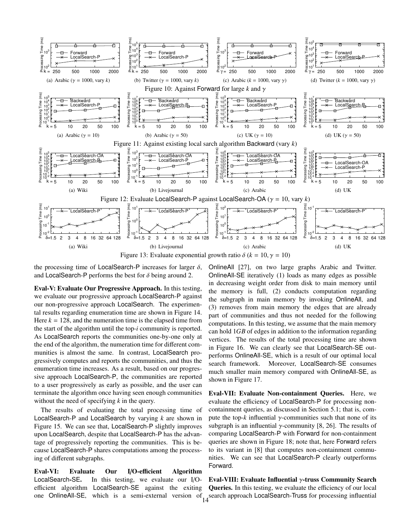

the processing time of LocalSearch-P increases for larger  $\delta$ , and LocalSearch-P performs the best for  $\delta$  being around 2.

Eval-V: Evaluate Our Progressive Approach. In this testing, we evaluate our progressive approach LocalSearch-P against our non-progressive approach LocalSearch. The experimental results regarding enumeration time are shown in Figure 14. Here  $k = 128$ , and the numeration time is the elapsed time from the start of the algorithm until the top-*i* community is reported. As LocalSearch reports the communities one-by-one only at the end of the algorithm, the numeration time for different communities is almost the same. In contrast, LocalSearch progressively computes and reports the communities, and thus the enumeration time increases. As a result, based on our progressive approach LocalSearch-P, the communities are reported to a user progressively as early as possible, and the user can terminate the algorithm once having seen enough communities without the need of specifying *k* in the query.

The results of evaluating the total processing time of LocalSearch-P and LocalSearch by varying *k* are shown in Figure 15. We can see that, LocalSearch-P slightly improves upon LocalSearch, despite that LocalSearch-P has the advantage of progressively reporting the communities. This is because LocalSearch-P shares computations among the processing of different subgraphs.

Eval-VI: Evaluate Our I/O-efficient Algorithm LocalSearch-SE. In this testing, we evaluate our I/Oefficient algorithm LocalSearch-SE against the exiting one OnlineAll-SE, which is a semi-external version of search approach LocalSearch-Truss for processing influential  $14$ 

OnlineAll [27], on two large graphs Arabic and Twitter. OnlineAll-SE iteratively (1) loads as many edges as possible in decreasing weight order from disk to main memory until the memory is full, (2) conducts computation regarding the subgraph in main memory by invoking OnlineAll, and (3) removes from main memory the edges that are already part of communities and thus not needed for the following computations. In this testing, we assume that the main memory can hold 1*GB* of edges in addition to the information regarding vertices. The results of the total processing time are shown in Figure 16. We can clearly see that LocalSearch-SE outperforms OnlineAll-SE, which is a result of our optimal local search framework. Moreover, LocalSearch-SE consumes much smaller main memory compared with OnlineAll-SE, as shown in Figure 17.

Eval-VII: Evaluate Non-containment Queries. Here, we evaluate the efficiency of LocalSearch-P for processing noncontainment queries, as discussed in Section 5.1; that is, compute the top- $k$  influential  $\gamma$ -communities such that none of its subgraph is an influential  $\gamma$ -community [8, 26]. The results of comparing LocalSearch-P with Forward for non-containment queries are shown in Figure 18; note that, here Forward refers to its variant in [8] that computes non-containment communities. We can see that LocalSearch-P clearly outperforms Forward.

Eval-VIII: Evaluate Influential γ-truss Community Search Queries. In this testing, we evaluate the efficiency of our local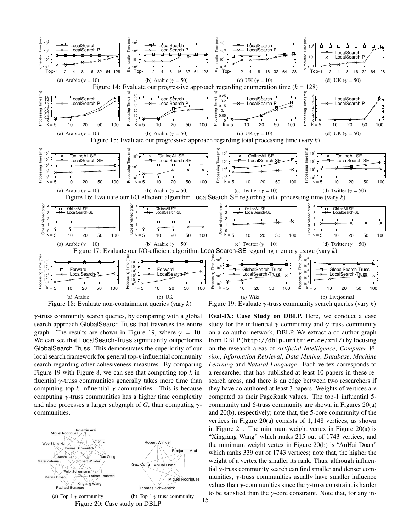

 $\gamma$ -truss community search queries, by comparing with a global search approach GlobalSearch-Truss that traverses the entire graph. The results are shown in Figure 19, where  $\gamma = 10$ . We can see that LocalSearch-Truss significantly outperforms GlobalSearch-Truss. This demonstrates the superiority of our local search framework for general top-*k* influential community search regarding other cohesiveness measures. By comparing Figure 19 with Figure 8, we can see that computing top-*k* influential  $\gamma$ -truss communities generally takes more time than computing top- $k$  influential  $\gamma$ -communities. This is because computing  $\gamma$ -truss communities has a higher time complexity and also processes a larger subgraph of *G*, than computing  $\gamma$ communities.



Eval-IX: Case Study on DBLP. Here, we conduct a case study for the influential  $\gamma$ -community and  $\gamma$ -truss community on a co-author network, DBLP. We extract a co-author graph from DBLP (http://dblp.unitrier.de/xml/) by focusing on the research areas of *Artificial Intelligence*, *Computer Vision*, *Information Retrieval*, *Data Mining*, *Database*, *Machine Learning* and *Natural Language*. Each vertex corresponds to a researcher that has published at least 10 papers in these research areas, and there is an edge between two researchers if they have co-authored at least 3 papers. Weights of vertices are computed as their PageRank values. The top-1 influential 5 community and 6-truss community are shown in Figures 20(a) and 20(b), respectively; note that, the 5-core community of the vertices in Figure 20(a) consists of 1, 148 vertices, as shown in Figure 21. The minimum weight vertex in Figure 20(a) is "Xingfang Wang" which ranks 215 out of 1743 vertices, and the minimum weight vertex in Figure 20(b) is "AnHai Doan" which ranks 339 out of 1743 vertices; note that, the higher the weight of a vertex the smaller its rank. Thus, although influential γ-truss community search can find smaller and denser communities,  $\gamma$ -truss communities usually have smaller influence values than  $\gamma$ -communities since the  $\gamma$ -truss constraint is harder to be satisfied than the  $\gamma$ -core constraint. Note that, for any in-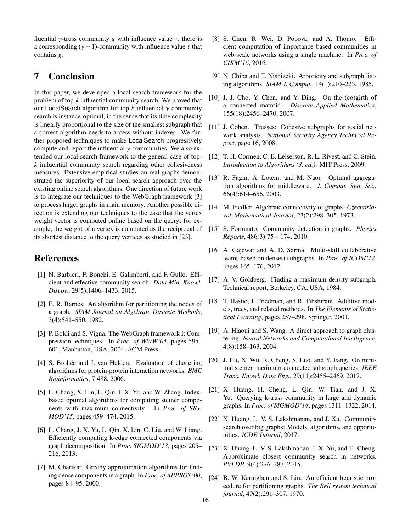fluential *γ*-truss community *g* with influence value  $\tau$ , there is a corresponding ( $\gamma$  – 1)-community with influence value  $\tau$  that contains *g*.

# 7 Conclusion

In this paper, we developed a local search framework for the problem of top-*k* influential community search. We proved that our LocalSearch algorithm for top-*k* influential γ-community search is instance-optimal, in the sense that its time complexity is linearly proportional to the size of the smallest subgraph that a correct algorithm needs to access without indexes. We further proposed techniques to make LocalSearch progressively compute and report the influential  $\gamma$ -communities. We also extended our local search framework to the general case of top*k* influential community search regarding other cohesiveness measures. Extensive empirical studies on real graphs demonstrated the superiority of our local search approach over the existing online search algorithms. One direction of future work is to integrate our techniques to the WebGraph framework [3] to process larger graphs in main memory. Another possible direction is extending our techniques to the case that the vertex weight vector is computed online based on the query; for example, the weight of a vertex is computed as the reciprocal of its shortest distance to the query vertices as studied in [23].

## References

- [1] N. Barbieri, F. Bonchi, E. Galimberti, and F. Gullo. Efficient and effective community search. *Data Min. Knowl. Discov.*, 29(5):1406–1433, 2015.
- [2] E. R. Barnes. An algorithm for partitioning the nodes of a graph. *SIAM Journal on Algebraic Discrete Methods*, 3(4):541–550, 1982.
- [3] P. Boldi and S. Vigna. The WebGraph framework I: Compression techniques. In *Proc. of WWW'04*, pages 595– 601, Manhattan, USA, 2004. ACM Press.
- [4] S. Brohée and J. van Helden. Evaluation of clustering algorithms for protein-protein interaction networks. *BMC Bioinformatics*, 7:488, 2006.
- [5] L. Chang, X. Lin, L. Qin, J. X. Yu, and W. Zhang. Indexbased optimal algorithms for computing steiner components with maximum connectivity. In *Proc. of SIG-MOD'15*, pages 459–474, 2015.
- [6] L. Chang, J. X. Yu, L. Qin, X. Lin, C. Liu, and W. Liang. Efficiently computing k-edge connected components via graph decomposition. In *Proc. SIGMOD'13*, pages 205– 216, 2013.
- [7] M. Charikar. Greedy approximation algorithms for finding dense components in a graph. In *Proc. of APPROX'00*, pages 84–95, 2000.
- [8] S. Chen, R. Wei, D. Popova, and A. Thomo. Efficient computation of importance based communities in web-scale networks using a single machine. In *Proc. of CIKM'16*, 2016.
- [9] N. Chiba and T. Nishizeki. Arboricity and subgraph listing algorithms. *SIAM J. Comput.*, 14(1):210–223, 1985.
- [10] J. J. Cho, Y. Chen, and Y. Ding. On the (co)girth of a connected matroid. *Discrete Applied Mathematics*, 155(18):2456–2470, 2007.
- [11] J. Cohen. Trusses: Cohesive subgraphs for social network analysis. *National Security Agency Technical Report*, page 16, 2008.
- [12] T. H. Cormen, C. E. Leiserson, R. L. Rivest, and C. Stein. *Introduction to Algorithms (3. ed.)*. MIT Press, 2009.
- [13] R. Fagin, A. Lotem, and M. Naor. Optimal aggregation algorithms for middleware. *J. Comput. Syst. Sci.*, 66(4):614–656, 2003.
- [14] M. Fiedler. Algebraic connectivity of graphs. *Czechoslovak Mathematical Journal*, 23(2):298–305, 1973.
- [15] S. Fortunato. Community detection in graphs. *Physics Reports*, 486(3):75 – 174, 2010.
- [16] A. Gajewar and A. D. Sarma. Multi-skill collaborative teams based on densest subgraphs. In *Proc. of ICDM'12*, pages 165–176, 2012.
- [17] A. V. Goldberg. Finding a maximum density subgraph. Technical report, Berkeley, CA, USA, 1984.
- [18] T. Hastie, J. Friedman, and R. Tibshirani. Additive models, trees, and related methods. In *The Elements of Statistical Learning*, pages 257–298. Springer, 2001.
- [19] A. Hlaoui and S. Wang. A direct approach to graph clustering. *Neural Networks and Computational Intelligence*, 4(8):158–163, 2004.
- [20] J. Hu, X. Wu, R. Cheng, S. Luo, and Y. Fang. On minimal steiner maximum-connected subgraph queries. *IEEE Trans. Knowl. Data Eng.*, 29(11):2455–2469, 2017.
- [21] X. Huang, H. Cheng, L. Qin, W. Tian, and J. X. Yu. Querying k-truss community in large and dynamic graphs. In *Proc. of SIGMOD'14*, pages 1311–1322, 2014.
- [22] X. Huang, L. V. S. Lakshmanan, and J. Xu. Community search over big graphs: Models, algorithms, and opportunities. *ICDE Tutorial*, 2017.
- [23] X. Huang, L. V. S. Lakshmanan, J. X. Yu, and H. Cheng. Approximate closest community search in networks. *PVLDB*, 9(4):276–287, 2015.
- [24] B. W. Kernighan and S. Lin. An efficient heuristic procedure for partitioning graphs. *The Bell system technical journal*, 49(2):291–307, 1970.